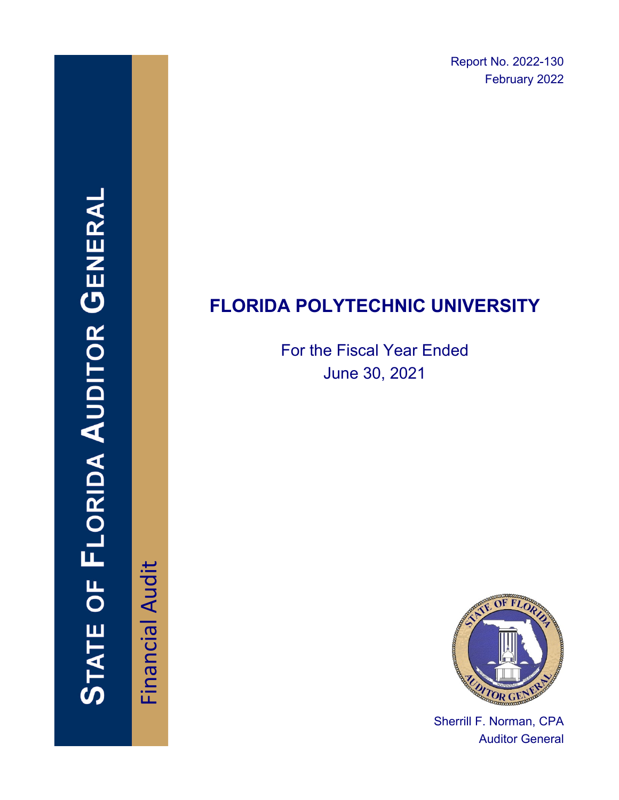Report No. 2022-130 February 2022

# **STATE OF FLORIDA AUDITOR GENERA**

Financial Audit Financial Audit

# **FLORIDA POLYTECHNIC UNIVERSITY**

For the Fiscal Year Ended June 30, 2021



Sherrill F. Norman, CPA Auditor General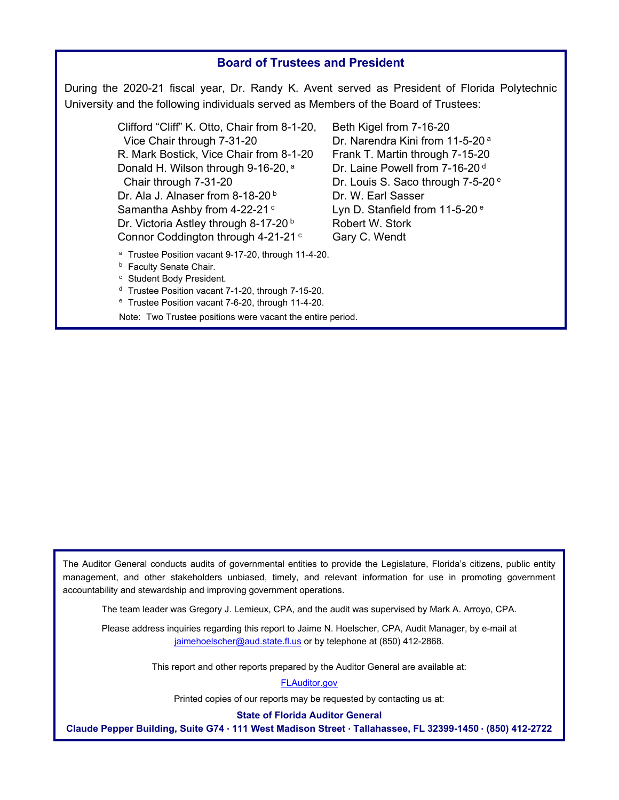#### **Board of Trustees and President**

During the 2020-21 fiscal year, Dr. Randy K. Avent served as President of Florida Polytechnic University and the following individuals served as Members of the Board of Trustees:

> Clifford "Cliff" K. Otto, Chair from 8-1-20, Beth Kigel from 7-16-20 Vice Chair through 7-31-20 Dr. Narendra Kini from 11-5-20<sup>a</sup> R. Mark Bostick, Vice Chair from 8-1-20 Frank T. Martin through 7-15-20 Donald H. Wilson through 9-16-20,  $a$  Dr. Laine Powell from 7-16-20 $d$ Chair through 7-31-20 Dr. Louis S. Saco through 7-5-20<sup>e</sup> Dr. Ala J. Alnaser from 8-18-20  $\frac{b}{2}$  Dr. W. Earl Sasser Samantha Ashby from 4-22-21 c Lyn D. Stanfield from 11-5-20  $\textdegree$ Dr. Victoria Astley through  $8-17-20<sup>b</sup>$  Robert W. Stork Connor Coddington through  $4-21-21$   $\circ$  Gary C. Wendt

- <sup>a</sup> Trustee Position vacant 9-17-20, through 11-4-20.<br>
<sup>b</sup> Faculty Senate Chair.<br>
c Student Body President.<br>
<sup>d</sup> Trustee Position vacant 7-1-20, through 7-15-20.<br>
e Trustee Position vacant 7-6-20, through 11-4-20.
- 
- 
- 
- 

Note: Two Trustee positions were vacant the entire period.

The Auditor General conducts audits of governmental entities to provide the Legislature, Florida's citizens, public entity management, and other stakeholders unbiased, timely, and relevant information for use in promoting government accountability and stewardship and improving government operations.

The team leader was Gregory J. Lemieux, CPA, and the audit was supervised by Mark A. Arroyo, CPA.

Please address inquiries regarding this report to Jaime N. Hoelscher, CPA, Audit Manager, by e-mail at jaimehoelscher@aud.state.fl.us or by telephone at (850) 412-2868.

This report and other reports prepared by the Auditor General are available at:

[FLAuditor.gov](http://flauditor.gov/) 

Printed copies of our reports may be requested by contacting us at:

**State of Florida Auditor General** 

**Claude Pepper Building, Suite G74 · 111 West Madison Street · Tallahassee, FL 32399-1450 · (850) 412-2722**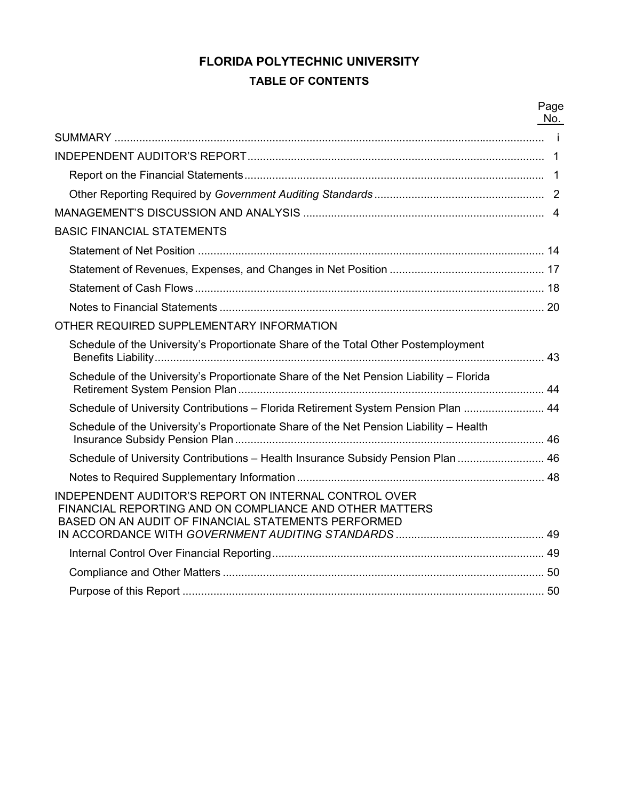# **FLORIDA POLYTECHNIC UNIVERSITY TABLE OF CONTENTS**

Page

|                                                                                                                                                                         | No. |
|-------------------------------------------------------------------------------------------------------------------------------------------------------------------------|-----|
|                                                                                                                                                                         |     |
|                                                                                                                                                                         |     |
|                                                                                                                                                                         |     |
|                                                                                                                                                                         |     |
|                                                                                                                                                                         |     |
| <b>BASIC FINANCIAL STATEMENTS</b>                                                                                                                                       |     |
|                                                                                                                                                                         |     |
|                                                                                                                                                                         |     |
|                                                                                                                                                                         |     |
|                                                                                                                                                                         |     |
| OTHER REQUIRED SUPPLEMENTARY INFORMATION                                                                                                                                |     |
| Schedule of the University's Proportionate Share of the Total Other Postemployment                                                                                      |     |
| Schedule of the University's Proportionate Share of the Net Pension Liability - Florida                                                                                 |     |
| Schedule of University Contributions - Florida Retirement System Pension Plan  44                                                                                       |     |
| Schedule of the University's Proportionate Share of the Net Pension Liability - Health                                                                                  |     |
| Schedule of University Contributions - Health Insurance Subsidy Pension Plan  46                                                                                        |     |
|                                                                                                                                                                         |     |
| INDEPENDENT AUDITOR'S REPORT ON INTERNAL CONTROL OVER<br>FINANCIAL REPORTING AND ON COMPLIANCE AND OTHER MATTERS<br>BASED ON AN AUDIT OF FINANCIAL STATEMENTS PERFORMED |     |
|                                                                                                                                                                         |     |
|                                                                                                                                                                         |     |
|                                                                                                                                                                         |     |
|                                                                                                                                                                         |     |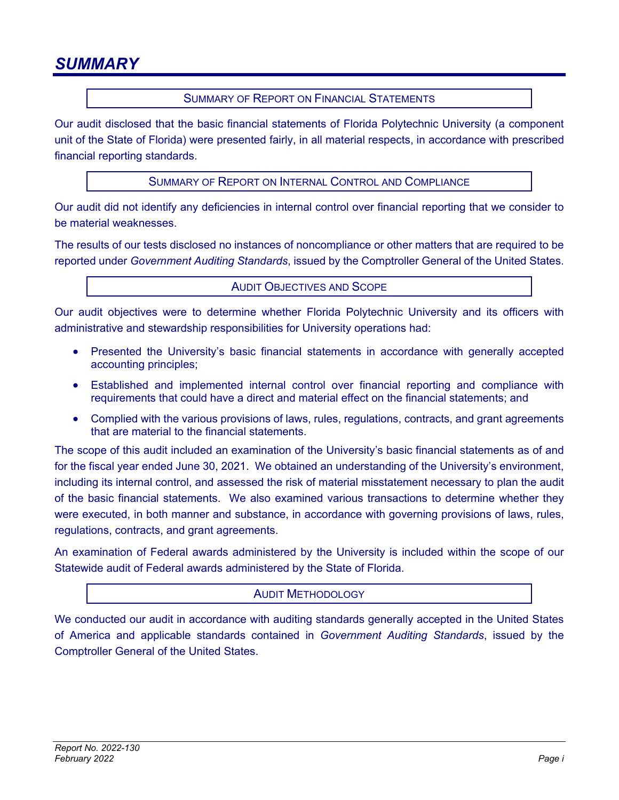#### SUMMARY OF REPORT ON FINANCIAL STATEMENTS

<span id="page-3-0"></span>Our audit disclosed that the basic financial statements of Florida Polytechnic University (a component unit of the State of Florida) were presented fairly, in all material respects, in accordance with prescribed financial reporting standards.

SUMMARY OF REPORT ON INTERNAL CONTROL AND COMPLIANCE

Our audit did not identify any deficiencies in internal control over financial reporting that we consider to be material weaknesses.

The results of our tests disclosed no instances of noncompliance or other matters that are required to be reported under *Government Auditing Standards*, issued by the Comptroller General of the United States.

#### AUDIT OBJECTIVES AND SCOPE

Our audit objectives were to determine whether Florida Polytechnic University and its officers with administrative and stewardship responsibilities for University operations had:

- Presented the University's basic financial statements in accordance with generally accepted accounting principles;
- Established and implemented internal control over financial reporting and compliance with requirements that could have a direct and material effect on the financial statements; and
- Complied with the various provisions of laws, rules, regulations, contracts, and grant agreements that are material to the financial statements.

The scope of this audit included an examination of the University's basic financial statements as of and for the fiscal year ended June 30, 2021. We obtained an understanding of the University's environment, including its internal control, and assessed the risk of material misstatement necessary to plan the audit of the basic financial statements. We also examined various transactions to determine whether they were executed, in both manner and substance, in accordance with governing provisions of laws, rules, regulations, contracts, and grant agreements.

An examination of Federal awards administered by the University is included within the scope of our Statewide audit of Federal awards administered by the State of Florida.

## AUDIT METHODOLOGY

We conducted our audit in accordance with auditing standards generally accepted in the United States of America and applicable standards contained in *Government Auditing Standards*, issued by the Comptroller General of the United States.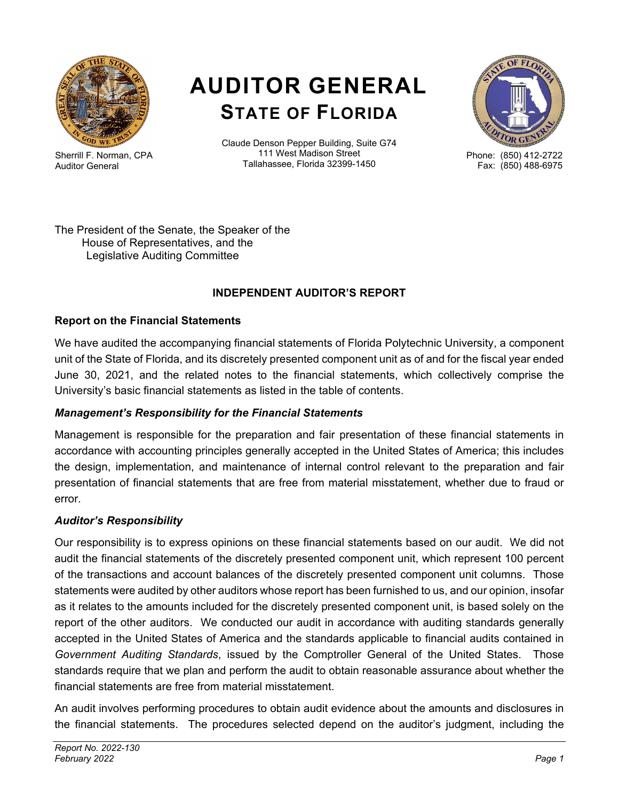<span id="page-4-0"></span>

Sherrill F. Norman, CPA Auditor General

# **AUDITOR GENERAL STATE OF FLORIDA**

Claude Denson Pepper Building, Suite G74 111 West Madison Street Tallahassee, Florida 32399-1450



Phone: (850) 412-2722 Fax: (850) 488-6975

The President of the Senate, the Speaker of the House of Representatives, and the Legislative Auditing Committee

# **INDEPENDENT AUDITOR'S REPORT**

# **Report on the Financial Statements**

We have audited the accompanying financial statements of Florida Polytechnic University, a component unit of the State of Florida, and its discretely presented component unit as of and for the fiscal year ended June 30, 2021, and the related notes to the financial statements, which collectively comprise the University's basic financial statements as listed in the table of contents.

## *Management's Responsibility for the Financial Statements*

Management is responsible for the preparation and fair presentation of these financial statements in accordance with accounting principles generally accepted in the United States of America; this includes the design, implementation, and maintenance of internal control relevant to the preparation and fair presentation of financial statements that are free from material misstatement, whether due to fraud or error.

# *Auditor's Responsibility*

Our responsibility is to express opinions on these financial statements based on our audit. We did not audit the financial statements of the discretely presented component unit, which represent 100 percent of the transactions and account balances of the discretely presented component unit columns. Those statements were audited by other auditors whose report has been furnished to us, and our opinion, insofar as it relates to the amounts included for the discretely presented component unit, is based solely on the report of the other auditors. We conducted our audit in accordance with auditing standards generally accepted in the United States of America and the standards applicable to financial audits contained in *Government Auditing Standards*, issued by the Comptroller General of the United States. Those standards require that we plan and perform the audit to obtain reasonable assurance about whether the financial statements are free from material misstatement.

An audit involves performing procedures to obtain audit evidence about the amounts and disclosures in the financial statements. The procedures selected depend on the auditor's judgment, including the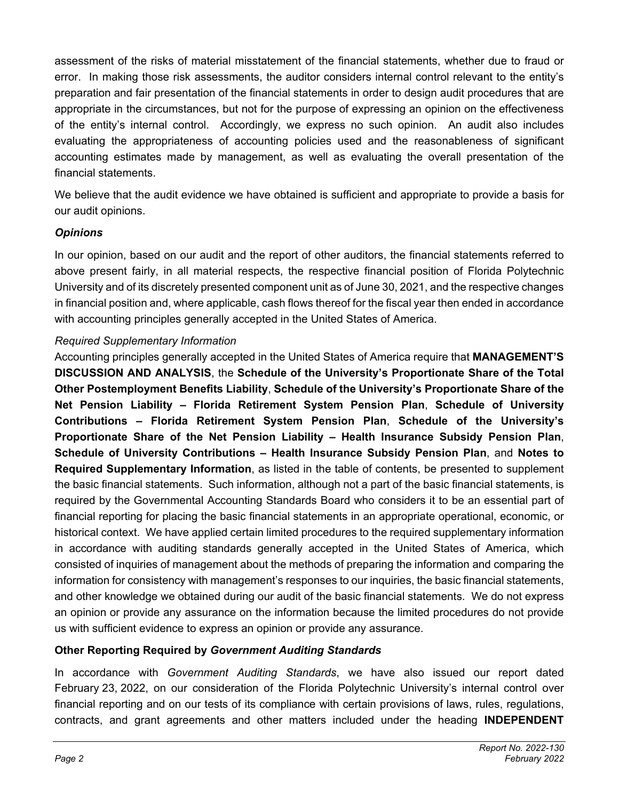<span id="page-5-0"></span>assessment of the risks of material misstatement of the financial statements, whether due to fraud or error. In making those risk assessments, the auditor considers internal control relevant to the entity's preparation and fair presentation of the financial statements in order to design audit procedures that are appropriate in the circumstances, but not for the purpose of expressing an opinion on the effectiveness of the entity's internal control. Accordingly, we express no such opinion. An audit also includes evaluating the appropriateness of accounting policies used and the reasonableness of significant accounting estimates made by management, as well as evaluating the overall presentation of the financial statements.

We believe that the audit evidence we have obtained is sufficient and appropriate to provide a basis for our audit opinions.

# *Opinions*

In our opinion, based on our audit and the report of other auditors, the financial statements referred to above present fairly, in all material respects, the respective financial position of Florida Polytechnic University and of its discretely presented component unit as of June 30, 2021, and the respective changes in financial position and, where applicable, cash flows thereof for the fiscal year then ended in accordance with accounting principles generally accepted in the United States of America.

## *Required Supplementary Information*

Accounting principles generally accepted in the United States of America require that **MANAGEMENT'S DISCUSSION AND ANALYSIS**, the **Schedule of the University's Proportionate Share of the Total Other Postemployment Benefits Liability**, **Schedule of the University's Proportionate Share of the Net Pension Liability – Florida Retirement System Pension Plan**, **Schedule of University Contributions – Florida Retirement System Pension Plan**, **Schedule of the University's Proportionate Share of the Net Pension Liability – Health Insurance Subsidy Pension Plan**, **Schedule of University Contributions – Health Insurance Subsidy Pension Plan**, and **Notes to Required Supplementary Information**, as listed in the table of contents, be presented to supplement the basic financial statements. Such information, although not a part of the basic financial statements, is required by the Governmental Accounting Standards Board who considers it to be an essential part of financial reporting for placing the basic financial statements in an appropriate operational, economic, or historical context. We have applied certain limited procedures to the required supplementary information in accordance with auditing standards generally accepted in the United States of America, which consisted of inquiries of management about the methods of preparing the information and comparing the information for consistency with management's responses to our inquiries, the basic financial statements, and other knowledge we obtained during our audit of the basic financial statements. We do not express an opinion or provide any assurance on the information because the limited procedures do not provide us with sufficient evidence to express an opinion or provide any assurance.

## **Other Reporting Required by** *Government Auditing Standards*

In accordance with *Government Auditing Standards*, we have also issued our report dated February 23, 2022, on our consideration of the Florida Polytechnic University's internal control over financial reporting and on our tests of its compliance with certain provisions of laws, rules, regulations, contracts, and grant agreements and other matters included under the heading **INDEPENDENT**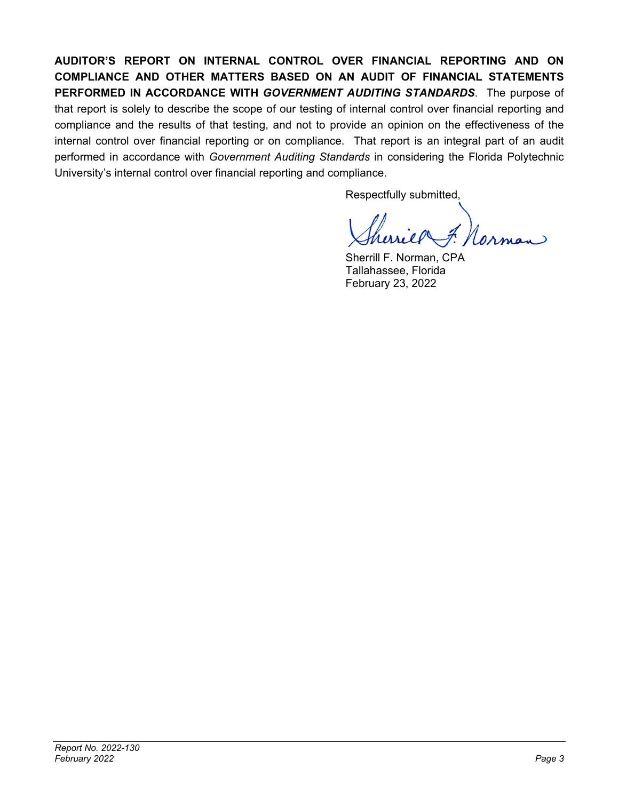**AUDITOR'S REPORT ON INTERNAL CONTROL OVER FINANCIAL REPORTING AND ON COMPLIANCE AND OTHER MATTERS BASED ON AN AUDIT OF FINANCIAL STATEMENTS PERFORMED IN ACCORDANCE WITH** *GOVERNMENT AUDITING STANDARDS*. The purpose of that report is solely to describe the scope of our testing of internal control over financial reporting and compliance and the results of that testing, and not to provide an opinion on the effectiveness of the internal control over financial reporting or on compliance. That report is an integral part of an audit performed in accordance with *Government Auditing Standards* in considering the Florida Polytechnic University's internal control over financial reporting and compliance.

Respectfully submitted,

Sherrill F. Norman, CPA Tallahassee, Florida February 23, 2022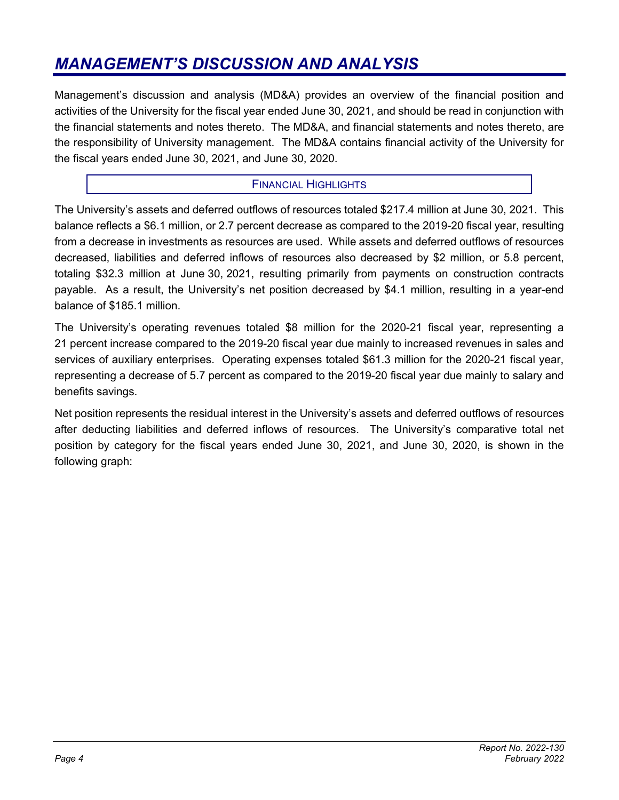# <span id="page-7-0"></span>*MANAGEMENT'S DISCUSSION AND ANALYSIS*

Management's discussion and analysis (MD&A) provides an overview of the financial position and activities of the University for the fiscal year ended June 30, 2021, and should be read in conjunction with the financial statements and notes thereto. The MD&A, and financial statements and notes thereto, are the responsibility of University management. The MD&A contains financial activity of the University for the fiscal years ended June 30, 2021, and June 30, 2020.

# FINANCIAL HIGHLIGHTS

The University's assets and deferred outflows of resources totaled \$217.4 million at June 30, 2021. This balance reflects a \$6.1 million, or 2.7 percent decrease as compared to the 2019-20 fiscal year, resulting from a decrease in investments as resources are used. While assets and deferred outflows of resources decreased, liabilities and deferred inflows of resources also decreased by \$2 million, or 5.8 percent, totaling \$32.3 million at June 30, 2021, resulting primarily from payments on construction contracts payable. As a result, the University's net position decreased by \$4.1 million, resulting in a year-end balance of \$185.1 million.

The University's operating revenues totaled \$8 million for the 2020-21 fiscal year, representing a 21 percent increase compared to the 2019-20 fiscal year due mainly to increased revenues in sales and services of auxiliary enterprises. Operating expenses totaled \$61.3 million for the 2020-21 fiscal year, representing a decrease of 5.7 percent as compared to the 2019-20 fiscal year due mainly to salary and benefits savings.

Net position represents the residual interest in the University's assets and deferred outflows of resources after deducting liabilities and deferred inflows of resources. The University's comparative total net position by category for the fiscal years ended June 30, 2021, and June 30, 2020, is shown in the following graph: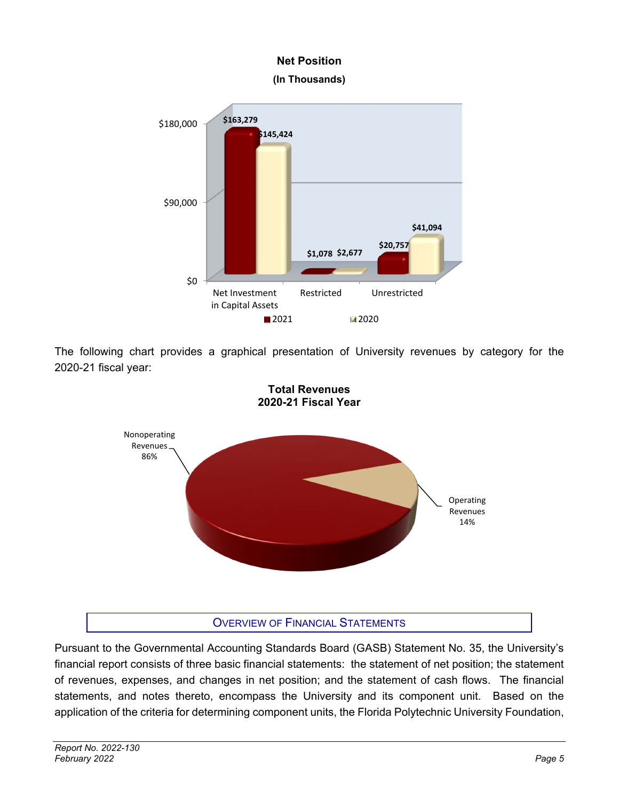**Net Position (In Thousands)** 



The following chart provides a graphical presentation of University revenues by category for the 2020-21 fiscal year:



Pursuant to the Governmental Accounting Standards Board (GASB) Statement No. 35, the University's financial report consists of three basic financial statements: the statement of net position; the statement of revenues, expenses, and changes in net position; and the statement of cash flows. The financial statements, and notes thereto, encompass the University and its component unit. Based on the application of the criteria for determining component units, the Florida Polytechnic University Foundation,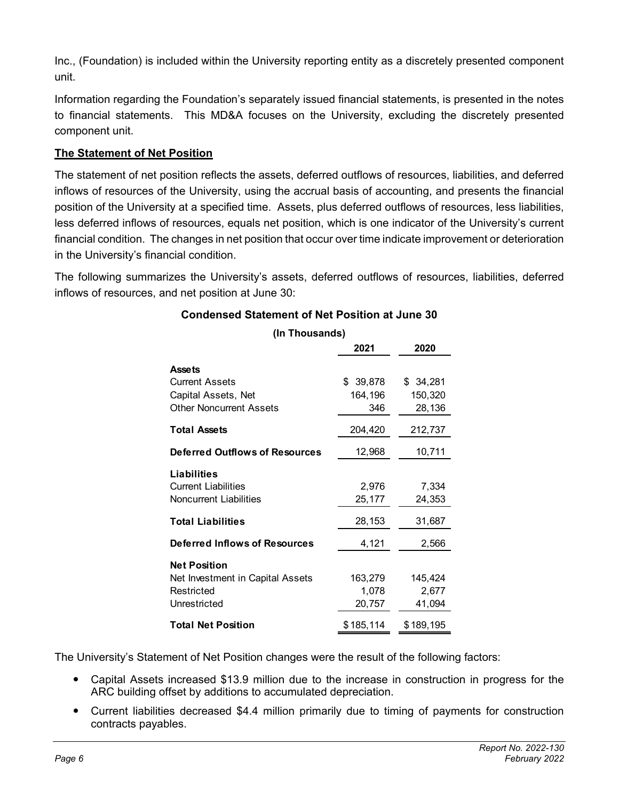Inc., (Foundation) is included within the University reporting entity as a discretely presented component unit.

Information regarding the Foundation's separately issued financial statements, is presented in the notes to financial statements. This MD&A focuses on the University, excluding the discretely presented component unit.

# **The Statement of Net Position**

The statement of net position reflects the assets, deferred outflows of resources, liabilities, and deferred inflows of resources of the University, using the accrual basis of accounting, and presents the financial position of the University at a specified time. Assets, plus deferred outflows of resources, less liabilities, less deferred inflows of resources, equals net position, which is one indicator of the University's current financial condition. The changes in net position that occur over time indicate improvement or deterioration in the University's financial condition.

The following summarizes the University's assets, deferred outflows of resources, liabilities, deferred inflows of resources, and net position at June 30:

## **Condensed Statement of Net Position at June 30**

|                                       | 2021      | 2020      |
|---------------------------------------|-----------|-----------|
| <b>Assets</b>                         |           |           |
| <b>Current Assets</b>                 | \$39,878  | \$34,281  |
| Capital Assets, Net                   | 164,196   | 150,320   |
| <b>Other Noncurrent Assets</b>        | 346       | 28,136    |
| <b>Total Assets</b>                   | 204,420   | 212,737   |
| <b>Deferred Outflows of Resources</b> | 12,968    | 10,711    |
| Liabilities                           |           |           |
| <b>Current Liabilities</b>            | 2,976     | 7,334     |
| <b>Noncurrent Liabilities</b>         | 25,177    | 24,353    |
| <b>Total Liabilities</b>              | 28,153    | 31,687    |
| <b>Deferred Inflows of Resources</b>  | 4,121     | 2,566     |
| <b>Net Position</b>                   |           |           |
| Net Investment in Capital Assets      | 163,279   | 145,424   |
| Restricted                            | 1,078     | 2,677     |
| Unrestricted                          | 20,757    | 41,094    |
| <b>Total Net Position</b>             | \$185,114 | \$189,195 |

# **(In Thousands)**

The University's Statement of Net Position changes were the result of the following factors:

- Capital Assets increased \$13.9 million due to the increase in construction in progress for the ARC building offset by additions to accumulated depreciation.
- Current liabilities decreased \$4.4 million primarily due to timing of payments for construction contracts payables.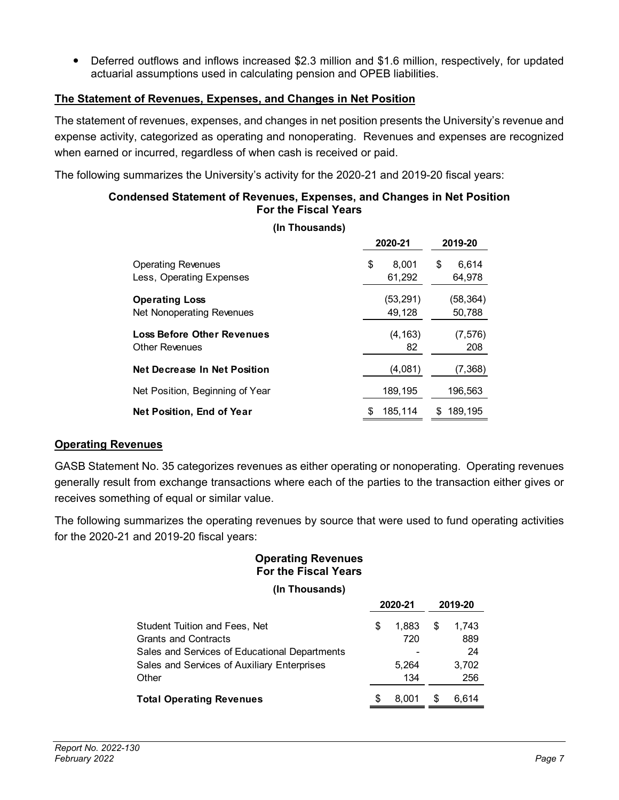Deferred outflows and inflows increased \$2.3 million and \$1.6 million, respectively, for updated actuarial assumptions used in calculating pension and OPEB liabilities.

#### **The Statement of Revenues, Expenses, and Changes in Net Position**

The statement of revenues, expenses, and changes in net position presents the University's revenue and expense activity, categorized as operating and nonoperating. Revenues and expenses are recognized when earned or incurred, regardless of when cash is received or paid.

The following summarizes the University's activity for the 2020-21 and 2019-20 fiscal years:

#### **Condensed Statement of Revenues, Expenses, and Changes in Net Position For the Fiscal Years**

#### **(In Thousands)**

|                                                           | 2020-21               | 2019-20               |
|-----------------------------------------------------------|-----------------------|-----------------------|
| <b>Operating Revenues</b><br>Less, Operating Expenses     | \$<br>8,001<br>61,292 | \$<br>6,614<br>64,978 |
| <b>Operating Loss</b><br><b>Net Nonoperating Revenues</b> | (53,291)<br>49,128    | (58,364)<br>50,788    |
| Loss Before Other Revenues<br><b>Other Revenues</b>       | (4, 163)<br>82        | (7, 576)<br>208       |
| <b>Net Decrease In Net Position</b>                       | (4,081)               | (7, 368)              |
| Net Position, Beginning of Year                           | 189,195               | 196,563               |
| <b>Net Position, End of Year</b>                          | 185,114<br>S          | 189.195<br>\$         |

#### **Operating Revenues**

GASB Statement No. 35 categorizes revenues as either operating or nonoperating. Operating revenues generally result from exchange transactions where each of the parties to the transaction either gives or receives something of equal or similar value.

The following summarizes the operating revenues by source that were used to fund operating activities for the 2020-21 and 2019-20 fiscal years:

#### **Operating Revenues For the Fiscal Years**

# **(In Thousands) 2020-21 2019-20** Student Tuition and Fees, Net  $$ 1,883 $ 1,743$ Grants and Contracts and T20 889 Sales and Services of Educational Departments **Fig. 1. 1. 1. 1. 1. 2.4** Sales and Services of Auxiliary Enterprises 5,264 3,702 Other 256 Total Operating Revenues **\$ 8,001 \$ 6,614**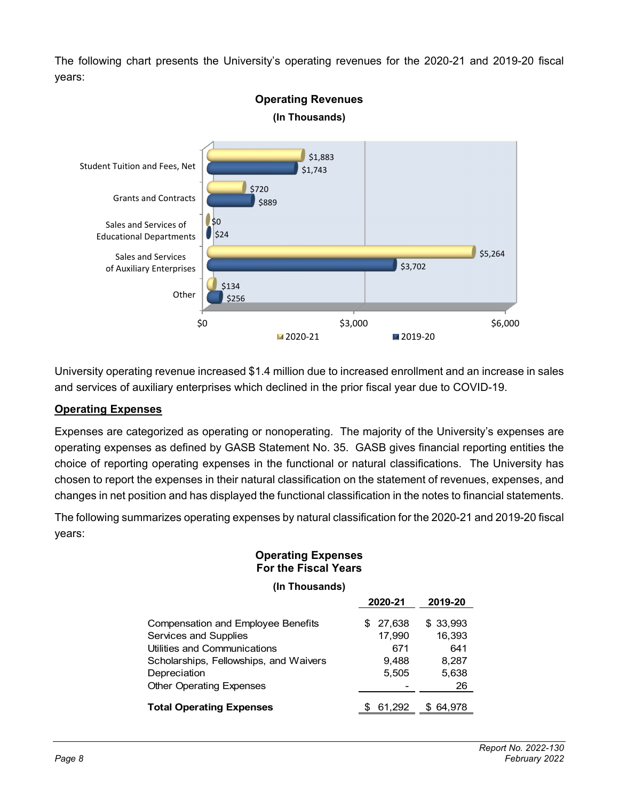The following chart presents the University's operating revenues for the 2020-21 and 2019-20 fiscal years:



University operating revenue increased \$1.4 million due to increased enrollment and an increase in sales and services of auxiliary enterprises which declined in the prior fiscal year due to COVID-19.

## **Operating Expenses**

Expenses are categorized as operating or nonoperating. The majority of the University's expenses are operating expenses as defined by GASB Statement No. 35. GASB gives financial reporting entities the choice of reporting operating expenses in the functional or natural classifications. The University has chosen to report the expenses in their natural classification on the statement of revenues, expenses, and changes in net position and has displayed the functional classification in the notes to financial statements.

The following summarizes operating expenses by natural classification for the 2020-21 and 2019-20 fiscal years:

## **Operating Expenses For the Fiscal Years**

#### **(In Thousands)**

|                                                                    | 2020-21                 | 2019-20            |
|--------------------------------------------------------------------|-------------------------|--------------------|
| <b>Compensation and Employee Benefits</b><br>Services and Supplies | 27,638<br>\$.<br>17,990 | \$33,993<br>16,393 |
| Utilities and Communications                                       | 671                     | 641                |
| Scholarships, Fellowships, and Waivers                             | 9,488                   | 8,287              |
| Depreciation                                                       | 5,505                   | 5,638              |
| <b>Other Operating Expenses</b>                                    |                         | 26                 |
| <b>Total Operating Expenses</b>                                    | 61,292                  | 64,978             |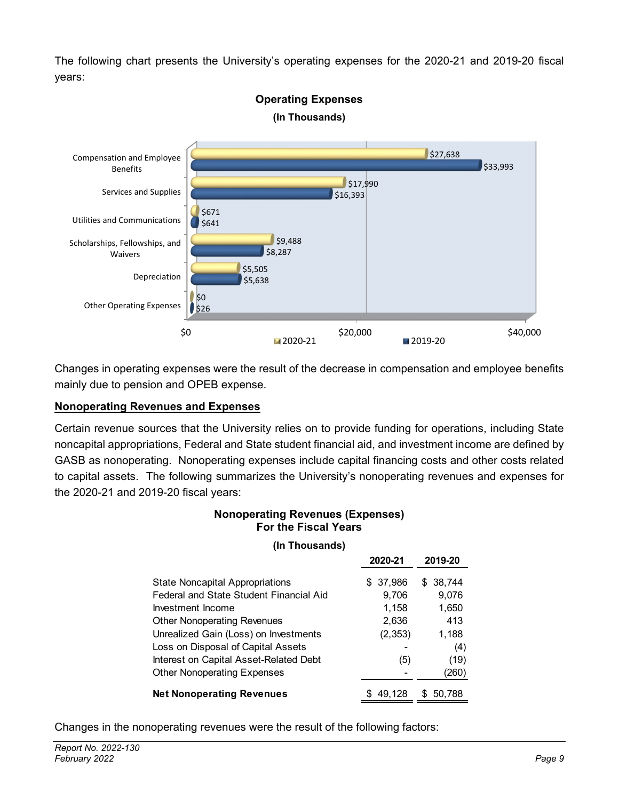The following chart presents the University's operating expenses for the 2020-21 and 2019-20 fiscal years:



Changes in operating expenses were the result of the decrease in compensation and employee benefits mainly due to pension and OPEB expense.

#### **Nonoperating Revenues and Expenses**

Certain revenue sources that the University relies on to provide funding for operations, including State noncapital appropriations, Federal and State student financial aid, and investment income are defined by GASB as nonoperating. Nonoperating expenses include capital financing costs and other costs related to capital assets. The following summarizes the University's nonoperating revenues and expenses for the 2020-21 and 2019-20 fiscal years:

| Nonoperating Revenues (Expenses)<br><b>For the Fiscal Years</b> |          |          |
|-----------------------------------------------------------------|----------|----------|
| (In Thousands)                                                  |          |          |
|                                                                 | 2020-21  | 2019-20  |
| <b>State Noncapital Appropriations</b>                          | \$37,986 | \$38,744 |
| Federal and State Student Financial Aid                         | 9,706    | 9,076    |
| Investment Income                                               | 1,158    | 1,650    |
| Other Nonoperating Revenues                                     | 2,636    | 413      |
| Unrealized Gain (Loss) on Investments                           | (2, 353) | 1,188    |
| Loss on Disposal of Capital Assets                              |          | (4)      |
| Interest on Capital Asset-Related Debt                          | (5)      | (19)     |
| Other Nonoperating Expenses                                     |          | (260)    |
| <b>Net Nonoperating Revenues</b>                                | 49.128   | \$50,788 |

# **Nonoperating Revenues (Expenses)**

Changes in the nonoperating revenues were the result of the following factors: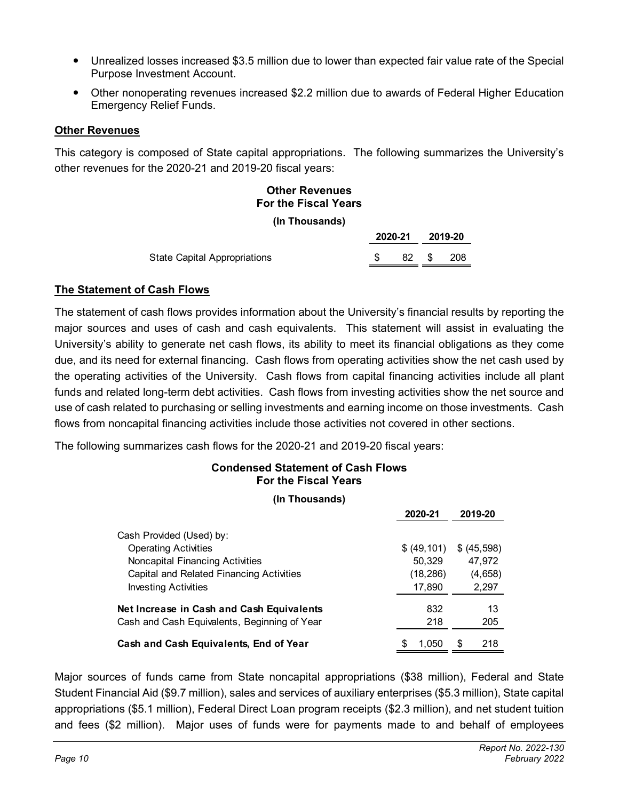- Unrealized losses increased \$3.5 million due to lower than expected fair value rate of the Special Purpose Investment Account.
- Other nonoperating revenues increased \$2.2 million due to awards of Federal Higher Education Emergency Relief Funds.

#### **Other Revenues**

This category is composed of State capital appropriations. The following summarizes the University's other revenues for the 2020-21 and 2019-20 fiscal years:

#### **Other Revenues For the Fiscal Years**

#### **(In Thousands)**

|                                     |  |       | 2020-21 2019-20 |      |
|-------------------------------------|--|-------|-----------------|------|
| <b>State Capital Appropriations</b> |  | 82 \$ |                 | -208 |

#### **The Statement of Cash Flows**

The statement of cash flows provides information about the University's financial results by reporting the major sources and uses of cash and cash equivalents. This statement will assist in evaluating the University's ability to generate net cash flows, its ability to meet its financial obligations as they come due, and its need for external financing. Cash flows from operating activities show the net cash used by the operating activities of the University. Cash flows from capital financing activities include all plant funds and related long-term debt activities. Cash flows from investing activities show the net source and use of cash related to purchasing or selling investments and earning income on those investments. Cash flows from noncapital financing activities include those activities not covered in other sections.

The following summarizes cash flows for the 2020-21 and 2019-20 fiscal years:

## **Condensed Statement of Cash Flows For the Fiscal Years**

#### **(In Thousands)**

|                                                 | 2020-21      | 2019-20     |
|-------------------------------------------------|--------------|-------------|
| Cash Provided (Used) by:                        |              |             |
| <b>Operating Activities</b>                     | \$ (49, 101) | \$ (45,598) |
| <b>Noncapital Financing Activities</b>          | 50,329       | 47,972      |
| <b>Capital and Related Financing Activities</b> | (18, 286)    | (4,658)     |
| <b>Investing Activities</b>                     | 17,890       | 2,297       |
| Net Increase in Cash and Cash Equivalents       | 832          | 13          |
| Cash and Cash Equivalents, Beginning of Year    | 218          | 205         |
| Cash and Cash Equivalents, End of Year          | 1.050        | 218<br>\$   |

Major sources of funds came from State noncapital appropriations (\$38 million), Federal and State Student Financial Aid (\$9.7 million), sales and services of auxiliary enterprises (\$5.3 million), State capital appropriations (\$5.1 million), Federal Direct Loan program receipts (\$2.3 million), and net student tuition and fees (\$2 million). Major uses of funds were for payments made to and behalf of employees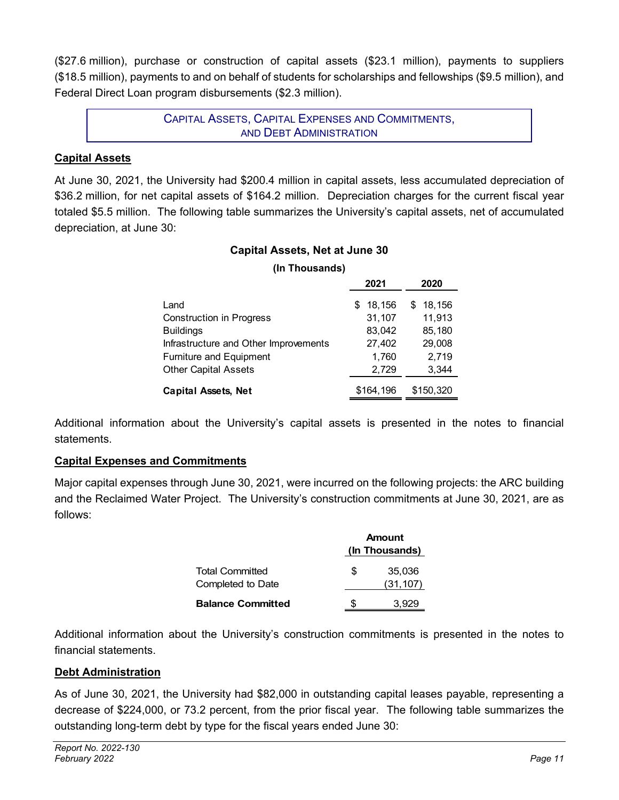(\$27.6 million), purchase or construction of capital assets (\$23.1 million), payments to suppliers (\$18.5 million), payments to and on behalf of students for scholarships and fellowships (\$9.5 million), and Federal Direct Loan program disbursements (\$2.3 million).

> CAPITAL ASSETS, CAPITAL EXPENSES AND COMMITMENTS, AND DEBT ADMINISTRATION

# **Capital Assets**

At June 30, 2021, the University had \$200.4 million in capital assets, less accumulated depreciation of \$36.2 million, for net capital assets of \$164.2 million. Depreciation charges for the current fiscal year totaled \$5.5 million. The following table summarizes the University's capital assets, net of accumulated depreciation, at June 30:

| (In Thousands)                        |               |              |  |
|---------------------------------------|---------------|--------------|--|
|                                       | 2021          | 2020         |  |
| Land                                  | 18,156<br>\$. | 18,156<br>\$ |  |
| Construction in Progress              | 31,107        | 11,913       |  |
| <b>Buildings</b>                      | 83,042        | 85,180       |  |
| Infrastructure and Other Improvements | 27,402        | 29,008       |  |
| <b>Furniture and Equipment</b>        | 1,760         | 2,719        |  |
| <b>Other Capital Assets</b>           | 2,729         | 3,344        |  |
| <b>Capital Assets, Net</b>            | \$164.196     | \$150,320    |  |

# **Capital Assets, Net at June 30**

Additional information about the University's capital assets is presented in the notes to financial statements.

# **Capital Expenses and Commitments**

Major capital expenses through June 30, 2021, were incurred on the following projects: the ARC building and the Reclaimed Water Project. The University's construction commitments at June 30, 2021, are as follows:

|                                             |    | Amount<br>(In Thousands) |  |  |
|---------------------------------------------|----|--------------------------|--|--|
| <b>Total Committed</b><br>Completed to Date | S  | 35,036<br>(31, 107)      |  |  |
| <b>Balance Committed</b>                    | \$ | 3.929                    |  |  |

Additional information about the University's construction commitments is presented in the notes to financial statements.

# **Debt Administration**

As of June 30, 2021, the University had \$82,000 in outstanding capital leases payable, representing a decrease of \$224,000, or 73.2 percent, from the prior fiscal year. The following table summarizes the outstanding long-term debt by type for the fiscal years ended June 30: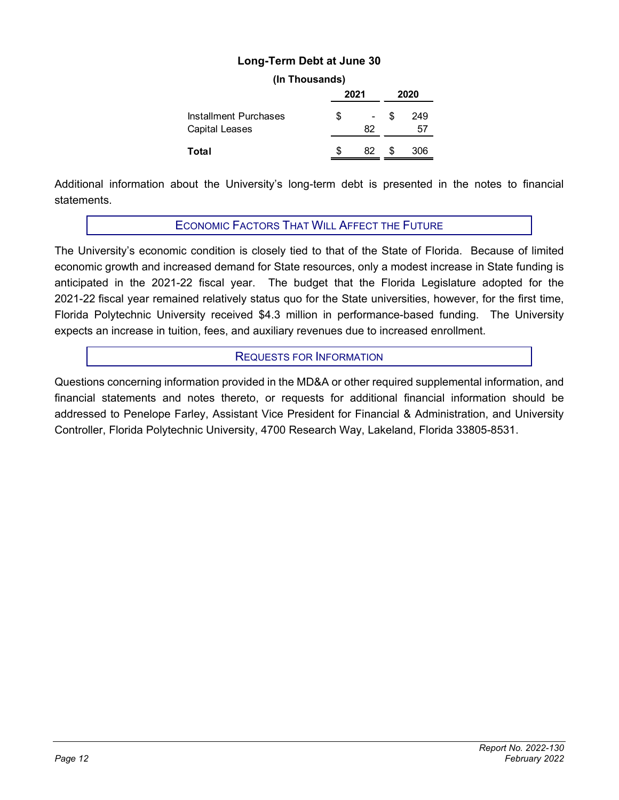#### **Long-Term Debt at June 30 (In Thousands)**

| ,                                              |      |    |      |           |
|------------------------------------------------|------|----|------|-----------|
|                                                | 2021 |    | 2020 |           |
| Installment Purchases<br><b>Capital Leases</b> | S    | 82 | S    | 249<br>57 |
| Total                                          |      | 82 |      | 306       |

Additional information about the University's long-term debt is presented in the notes to financial statements.

## ECONOMIC FACTORS THAT WILL AFFECT THE FUTURE

The University's economic condition is closely tied to that of the State of Florida. Because of limited economic growth and increased demand for State resources, only a modest increase in State funding is anticipated in the 2021-22 fiscal year. The budget that the Florida Legislature adopted for the 2021-22 fiscal year remained relatively status quo for the State universities, however, for the first time, Florida Polytechnic University received \$4.3 million in performance-based funding. The University expects an increase in tuition, fees, and auxiliary revenues due to increased enrollment.

#### REQUESTS FOR INFORMATION

Questions concerning information provided in the MD&A or other required supplemental information, and financial statements and notes thereto, or requests for additional financial information should be addressed to Penelope Farley, Assistant Vice President for Financial & Administration, and University Controller, Florida Polytechnic University, 4700 Research Way, Lakeland, Florida 33805-8531.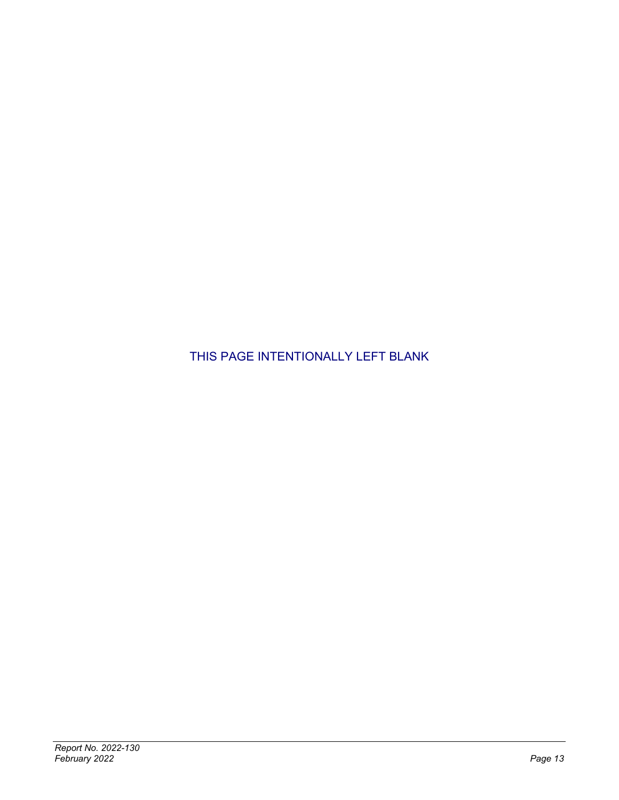THIS PAGE INTENTIONALLY LEFT BLANK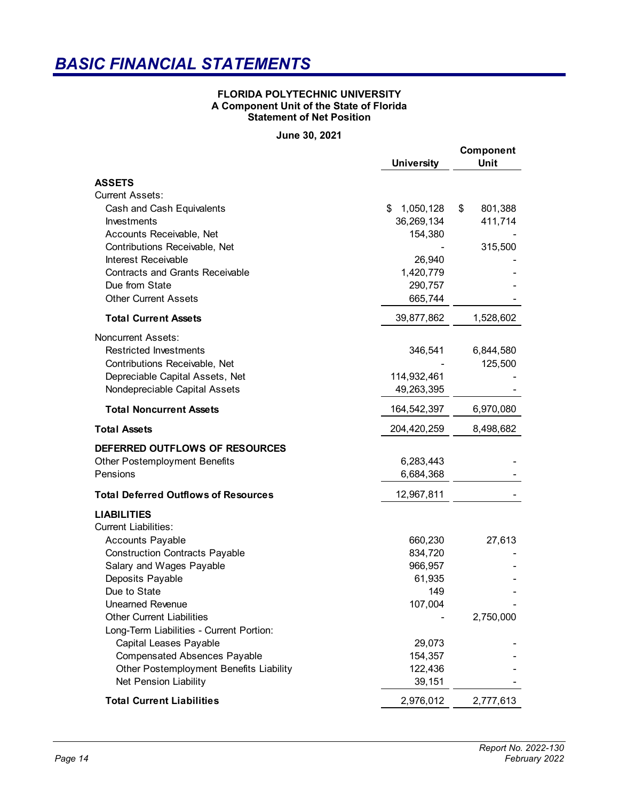# <span id="page-17-0"></span>*BASIC FINANCIAL STATEMENTS*

#### **FLORIDA POLYTECHNIC UNIVERSITY A Component Unit of the State of Florida Statement of Net Position**

**June 30, 2021** 

|                                                               | <b>University</b> | Component<br>Unit |
|---------------------------------------------------------------|-------------------|-------------------|
| <b>ASSETS</b>                                                 |                   |                   |
| <b>Current Assets:</b>                                        |                   |                   |
| Cash and Cash Equivalents                                     | \$<br>1,050,128   | \$<br>801,388     |
| Investments                                                   | 36,269,134        | 411,714           |
| Accounts Receivable, Net                                      | 154,380           |                   |
| Contributions Receivable, Net                                 |                   | 315,500           |
| Interest Receivable                                           | 26,940            |                   |
| <b>Contracts and Grants Receivable</b>                        | 1,420,779         |                   |
| Due from State                                                | 290,757           |                   |
| <b>Other Current Assets</b>                                   | 665,744           |                   |
| <b>Total Current Assets</b>                                   | 39,877,862        | 1,528,602         |
| <b>Noncurrent Assets:</b>                                     |                   |                   |
| <b>Restricted Investments</b>                                 | 346,541           | 6,844,580         |
| Contributions Receivable, Net                                 |                   | 125,500           |
| Depreciable Capital Assets, Net                               | 114,932,461       |                   |
| Nondepreciable Capital Assets                                 | 49,263,395        |                   |
| <b>Total Noncurrent Assets</b>                                | 164,542,397       | 6,970,080         |
| <b>Total Assets</b>                                           | 204,420,259       | 8,498,682         |
| DEFERRED OUTFLOWS OF RESOURCES                                |                   |                   |
| <b>Other Postemployment Benefits</b>                          | 6,283,443         |                   |
| Pensions                                                      | 6,684,368         |                   |
| <b>Total Deferred Outflows of Resources</b>                   | 12,967,811        |                   |
| <b>LIABILITIES</b>                                            |                   |                   |
| <b>Current Liabilities:</b>                                   |                   |                   |
| <b>Accounts Payable</b>                                       | 660,230           | 27,613            |
| <b>Construction Contracts Payable</b>                         | 834,720           |                   |
| Salary and Wages Payable                                      | 966,957           |                   |
| Deposits Payable                                              | 61,935            |                   |
| Due to State                                                  | 149               |                   |
| <b>Unearned Revenue</b>                                       | 107,004           |                   |
| <b>Other Current Liabilities</b>                              |                   | 2,750,000         |
| Long-Term Liabilities - Current Portion:                      |                   |                   |
| Capital Leases Payable<br><b>Compensated Absences Payable</b> | 29,073<br>154,357 |                   |
| Other Postemployment Benefits Liability                       | 122,436           |                   |
| Net Pension Liability                                         | 39,151            |                   |
| <b>Total Current Liabilities</b>                              | 2,976,012         | 2,777,613         |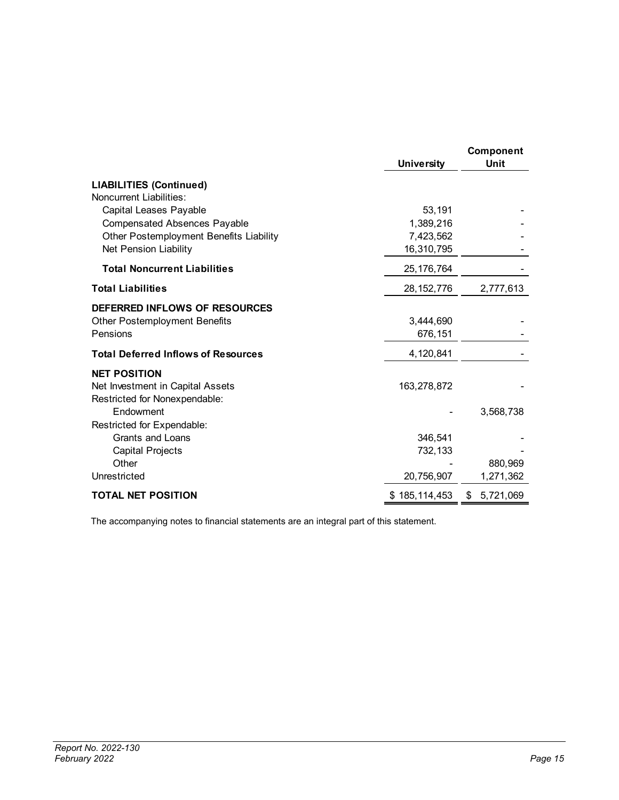|                                                                                                                                   | <b>University</b>                              | <b>Component</b><br>Unit |
|-----------------------------------------------------------------------------------------------------------------------------------|------------------------------------------------|--------------------------|
| <b>LIABILITIES (Continued)</b><br>Noncurrent Liabilities:                                                                         |                                                |                          |
| Capital Leases Payable<br><b>Compensated Absences Payable</b><br>Other Postemployment Benefits Liability<br>Net Pension Liability | 53.191<br>1,389,216<br>7,423,562<br>16,310,795 |                          |
| <b>Total Noncurrent Liabilities</b>                                                                                               | 25, 176, 764                                   |                          |
| <b>Total Liabilities</b>                                                                                                          | 28, 152, 776                                   | 2,777,613                |
| DEFERRED INFLOWS OF RESOURCES<br><b>Other Postemployment Benefits</b><br>Pensions                                                 | 3,444,690<br>676,151                           |                          |
| <b>Total Deferred Inflows of Resources</b>                                                                                        | 4,120,841                                      |                          |
| <b>NET POSITION</b><br>Net Investment in Capital Assets<br>Restricted for Nonexpendable:<br>Endowment                             | 163,278,872                                    | 3,568,738                |
| Restricted for Expendable:<br>Grants and Loans<br><b>Capital Projects</b><br>Other                                                | 346,541<br>732,133                             | 880,969                  |
| Unrestricted                                                                                                                      | 20,756,907                                     | 1,271,362                |
| <b>TOTAL NET POSITION</b>                                                                                                         | \$185,114,453                                  | 5,721,069<br>\$          |

The accompanying notes to financial statements are an integral part of this statement.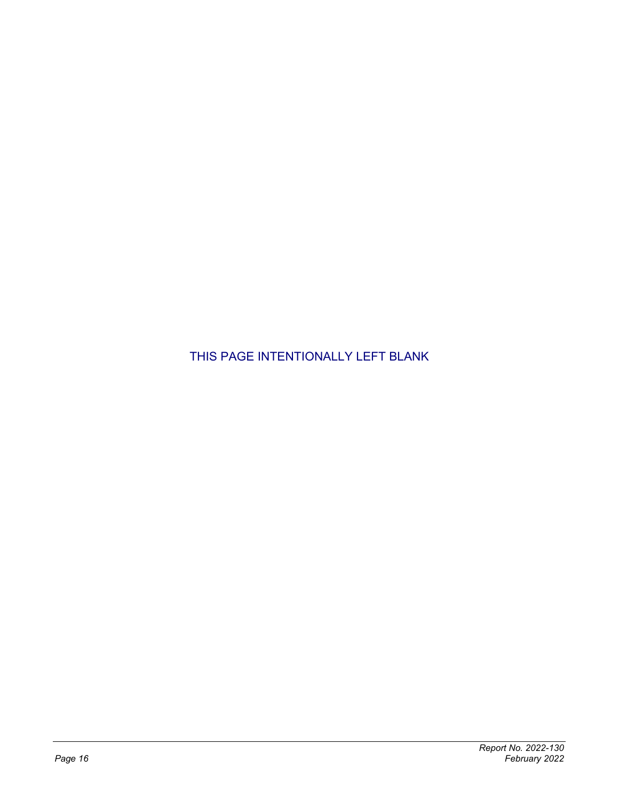THIS PAGE INTENTIONALLY LEFT BLANK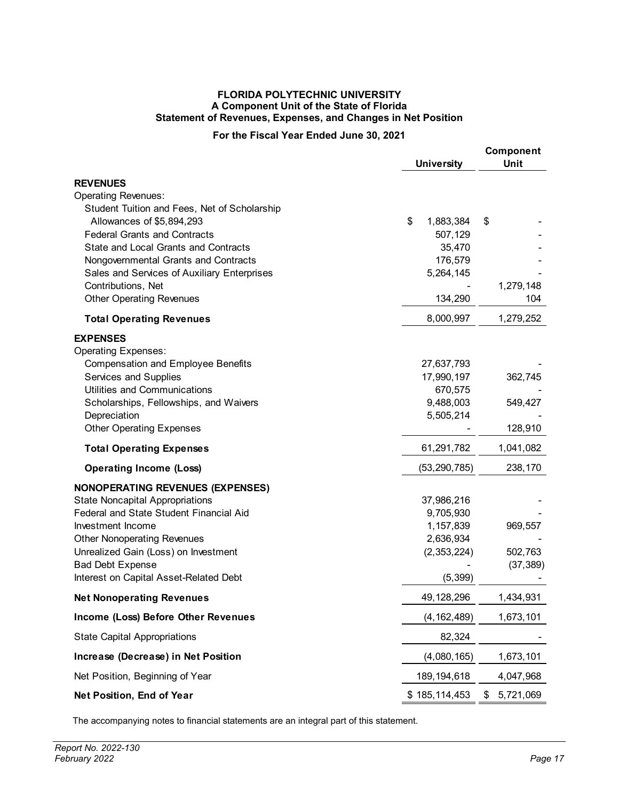#### **FLORIDA POLYTECHNIC UNIVERSITY A Component Unit of the State of Florida Statement of Revenues, Expenses, and Changes in Net Position**

#### **For the Fiscal Year Ended June 30, 2021**

<span id="page-20-0"></span>

|                                              | <b>University</b> | <b>Component</b><br>Unit |
|----------------------------------------------|-------------------|--------------------------|
| <b>REVENUES</b>                              |                   |                          |
| <b>Operating Revenues:</b>                   |                   |                          |
| Student Tuition and Fees, Net of Scholarship |                   |                          |
| Allowances of \$5,894,293                    | \$<br>1,883,384   | \$                       |
| <b>Federal Grants and Contracts</b>          | 507,129           |                          |
| <b>State and Local Grants and Contracts</b>  | 35,470            |                          |
| Nongovernmental Grants and Contracts         | 176,579           |                          |
| Sales and Services of Auxiliary Enterprises  | 5,264,145         |                          |
| Contributions, Net                           |                   | 1,279,148                |
| <b>Other Operating Revenues</b>              | 134,290           | 104                      |
| <b>Total Operating Revenues</b>              | 8,000,997         | 1,279,252                |
| <b>EXPENSES</b>                              |                   |                          |
| <b>Operating Expenses:</b>                   |                   |                          |
| <b>Compensation and Employee Benefits</b>    | 27,637,793        |                          |
| Services and Supplies                        | 17,990,197        | 362,745                  |
| Utilities and Communications                 | 670,575           |                          |
| Scholarships, Fellowships, and Waivers       | 9,488,003         | 549,427                  |
| Depreciation                                 | 5,505,214         |                          |
| <b>Other Operating Expenses</b>              |                   | 128,910                  |
| <b>Total Operating Expenses</b>              | 61,291,782        | 1,041,082                |
| <b>Operating Income (Loss)</b>               | (53, 290, 785)    | 238,170                  |
| <b>NONOPERATING REVENUES (EXPENSES)</b>      |                   |                          |
| <b>State Noncapital Appropriations</b>       | 37,986,216        |                          |
| Federal and State Student Financial Aid      | 9,705,930         |                          |
| Investment Income                            | 1,157,839         | 969,557                  |
| <b>Other Nonoperating Revenues</b>           | 2,636,934         |                          |
| Unrealized Gain (Loss) on Investment         | (2, 353, 224)     | 502,763                  |
| <b>Bad Debt Expense</b>                      |                   | (37, 389)                |
| Interest on Capital Asset-Related Debt       | (5, 399)          |                          |
| <b>Net Nonoperating Revenues</b>             | 49,128,296        | 1,434,931                |
| Income (Loss) Before Other Revenues          | (4, 162, 489)     | 1,673,101                |
| <b>State Capital Appropriations</b>          | 82,324            |                          |
| Increase (Decrease) in Net Position          | (4,080,165)       | 1,673,101                |
| Net Position, Beginning of Year              | 189, 194, 618     | 4,047,968                |
| Net Position, End of Year                    | \$185,114,453     | 5,721,069<br>\$          |

The accompanying notes to financial statements are an integral part of this statement.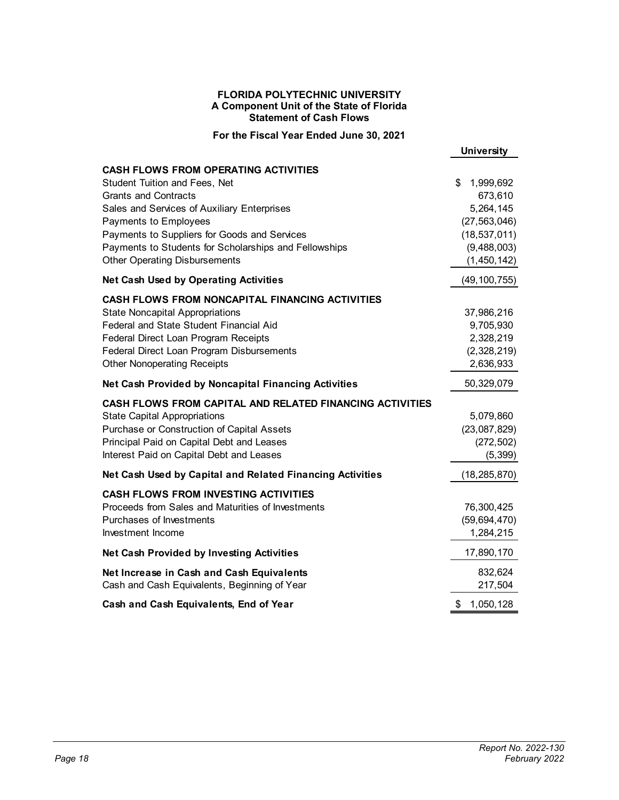#### **FLORIDA POLYTECHNIC UNIVERSITY A Component Unit of the State of Florida Statement of Cash Flows**

**For the Fiscal Year Ended June 30, 2021** 

<span id="page-21-0"></span>

|                                                                                                                                                                                                                                                                                                                                      | <b>University</b>                                                                                         |
|--------------------------------------------------------------------------------------------------------------------------------------------------------------------------------------------------------------------------------------------------------------------------------------------------------------------------------------|-----------------------------------------------------------------------------------------------------------|
| <b>CASH FLOWS FROM OPERATING ACTIVITIES</b><br>Student Tuition and Fees, Net<br><b>Grants and Contracts</b><br>Sales and Services of Auxiliary Enterprises<br>Payments to Employees<br>Payments to Suppliers for Goods and Services<br>Payments to Students for Scholarships and Fellowships<br><b>Other Operating Disbursements</b> | \$<br>1,999,692<br>673,610<br>5,264,145<br>(27, 563, 046)<br>(18, 537, 011)<br>(9,488,003)<br>(1,450,142) |
| <b>Net Cash Used by Operating Activities</b>                                                                                                                                                                                                                                                                                         | (49, 100, 755)                                                                                            |
| <b>CASH FLOWS FROM NONCAPITAL FINANCING ACTIVITIES</b><br><b>State Noncapital Appropriations</b><br><b>Federal and State Student Financial Aid</b><br>Federal Direct Loan Program Receipts<br>Federal Direct Loan Program Disbursements<br><b>Other Nonoperating Receipts</b>                                                        | 37,986,216<br>9,705,930<br>2,328,219<br>(2,328,219)<br>2,636,933                                          |
| Net Cash Provided by Noncapital Financing Activities                                                                                                                                                                                                                                                                                 | 50,329,079                                                                                                |
| <b>CASH FLOWS FROM CAPITAL AND RELATED FINANCING ACTIVITIES</b><br><b>State Capital Appropriations</b><br>Purchase or Construction of Capital Assets<br>Principal Paid on Capital Debt and Leases<br>Interest Paid on Capital Debt and Leases                                                                                        | 5,079,860<br>(23,087,829)<br>(272, 502)<br>(5, 399)                                                       |
| Net Cash Used by Capital and Related Financing Activities                                                                                                                                                                                                                                                                            | (18, 285, 870)                                                                                            |
| <b>CASH FLOWS FROM INVESTING ACTIVITIES</b><br>Proceeds from Sales and Maturities of Investments<br>Purchases of Investments<br>Investment Income                                                                                                                                                                                    | 76,300,425<br>(59, 694, 470)<br>1,284,215                                                                 |
| <b>Net Cash Provided by Investing Activities</b>                                                                                                                                                                                                                                                                                     | 17,890,170                                                                                                |
| Net Increase in Cash and Cash Equivalents<br>Cash and Cash Equivalents, Beginning of Year                                                                                                                                                                                                                                            | 832,624<br>217,504                                                                                        |
| Cash and Cash Equivalents, End of Year                                                                                                                                                                                                                                                                                               | \$<br>1,050,128                                                                                           |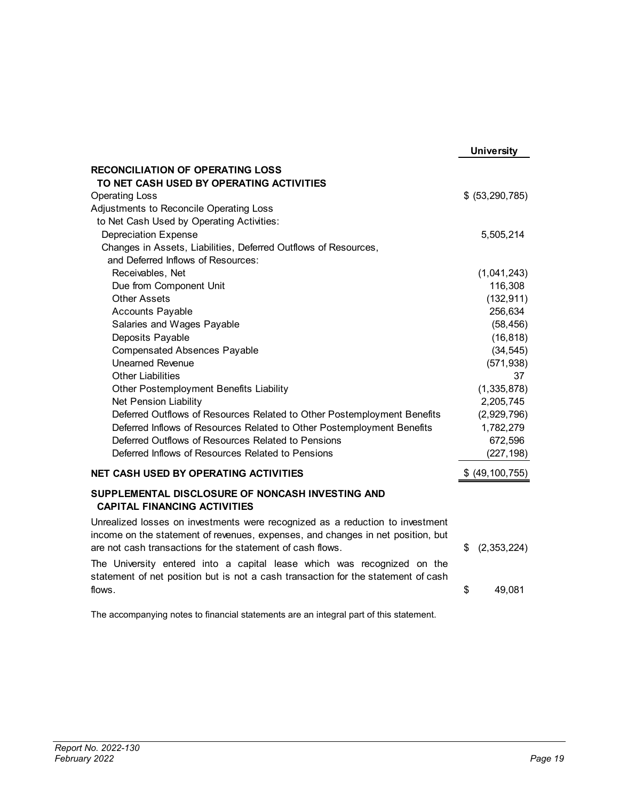|                                                                                                  |    | <b>University</b>        |
|--------------------------------------------------------------------------------------------------|----|--------------------------|
| <b>RECONCILIATION OF OPERATING LOSS</b>                                                          |    |                          |
| TO NET CASH USED BY OPERATING ACTIVITIES                                                         |    |                          |
| <b>Operating Loss</b>                                                                            |    | \$ (53, 290, 785)        |
| Adjustments to Reconcile Operating Loss                                                          |    |                          |
| to Net Cash Used by Operating Activities:                                                        |    |                          |
| <b>Depreciation Expense</b>                                                                      |    | 5,505,214                |
| Changes in Assets, Liabilities, Deferred Outflows of Resources,                                  |    |                          |
| and Deferred Inflows of Resources:                                                               |    |                          |
| Receivables, Net                                                                                 |    | (1,041,243)              |
| Due from Component Unit                                                                          |    | 116,308                  |
| <b>Other Assets</b>                                                                              |    | (132, 911)               |
| <b>Accounts Payable</b>                                                                          |    | 256,634                  |
| Salaries and Wages Payable                                                                       |    | (58, 456)                |
| Deposits Payable                                                                                 |    | (16, 818)                |
| <b>Compensated Absences Payable</b>                                                              |    | (34, 545)                |
| <b>Unearned Revenue</b>                                                                          |    | (571, 938)               |
| <b>Other Liabilities</b>                                                                         |    | 37                       |
| Other Postemployment Benefits Liability                                                          |    | (1, 335, 878)            |
| Net Pension Liability<br>Deferred Outflows of Resources Related to Other Postemployment Benefits |    | 2,205,745<br>(2,929,796) |
| Deferred Inflows of Resources Related to Other Postemployment Benefits                           |    | 1,782,279                |
| Deferred Outflows of Resources Related to Pensions                                               |    | 672,596                  |
| Deferred Inflows of Resources Related to Pensions                                                |    | (227, 198)               |
|                                                                                                  |    |                          |
| NET CASH USED BY OPERATING ACTIVITIES                                                            |    | \$ (49, 100, 755)        |
| SUPPLEMENTAL DISCLOSURE OF NONCASH INVESTING AND<br><b>CAPITAL FINANCING ACTIVITIES</b>          |    |                          |
| Unrealized losses on investments were recognized as a reduction to investment                    |    |                          |
| income on the statement of revenues, expenses, and changes in net position, but                  |    |                          |
| are not cash transactions for the statement of cash flows.                                       | S. | (2,353,224)              |
| The University entered into a capital lease which was recognized on the                          |    |                          |
| statement of net position but is not a cash transaction for the statement of cash                |    |                          |
| flows.                                                                                           | \$ | 49,081                   |
|                                                                                                  |    |                          |

The accompanying notes to financial statements are an integral part of this statement.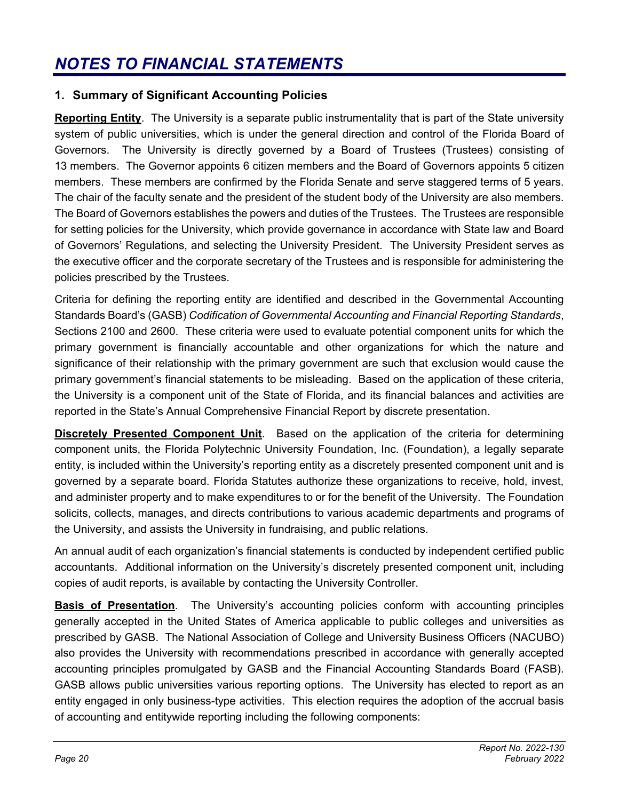# <span id="page-23-0"></span>*NOTES TO FINANCIAL STATEMENTS*

# **1. Summary of Significant Accounting Policies**

**Reporting Entity**. The University is a separate public instrumentality that is part of the State university system of public universities, which is under the general direction and control of the Florida Board of Governors. The University is directly governed by a Board of Trustees (Trustees) consisting of 13 members. The Governor appoints 6 citizen members and the Board of Governors appoints 5 citizen members. These members are confirmed by the Florida Senate and serve staggered terms of 5 years. The chair of the faculty senate and the president of the student body of the University are also members. The Board of Governors establishes the powers and duties of the Trustees. The Trustees are responsible for setting policies for the University, which provide governance in accordance with State law and Board of Governors' Regulations, and selecting the University President. The University President serves as the executive officer and the corporate secretary of the Trustees and is responsible for administering the policies prescribed by the Trustees.

Criteria for defining the reporting entity are identified and described in the Governmental Accounting Standards Board's (GASB) *Codification of Governmental Accounting and Financial Reporting Standards*, Sections 2100 and 2600. These criteria were used to evaluate potential component units for which the primary government is financially accountable and other organizations for which the nature and significance of their relationship with the primary government are such that exclusion would cause the primary government's financial statements to be misleading. Based on the application of these criteria, the University is a component unit of the State of Florida, and its financial balances and activities are reported in the State's Annual Comprehensive Financial Report by discrete presentation.

**Discretely Presented Component Unit**. Based on the application of the criteria for determining component units, the Florida Polytechnic University Foundation, Inc. (Foundation), a legally separate entity, is included within the University's reporting entity as a discretely presented component unit and is governed by a separate board. Florida Statutes authorize these organizations to receive, hold, invest, and administer property and to make expenditures to or for the benefit of the University. The Foundation solicits, collects, manages, and directs contributions to various academic departments and programs of the University, and assists the University in fundraising, and public relations.

An annual audit of each organization's financial statements is conducted by independent certified public accountants. Additional information on the University's discretely presented component unit, including copies of audit reports, is available by contacting the University Controller.

**Basis of Presentation**. The University's accounting policies conform with accounting principles generally accepted in the United States of America applicable to public colleges and universities as prescribed by GASB. The National Association of College and University Business Officers (NACUBO) also provides the University with recommendations prescribed in accordance with generally accepted accounting principles promulgated by GASB and the Financial Accounting Standards Board (FASB). GASB allows public universities various reporting options. The University has elected to report as an entity engaged in only business-type activities. This election requires the adoption of the accrual basis of accounting and entitywide reporting including the following components: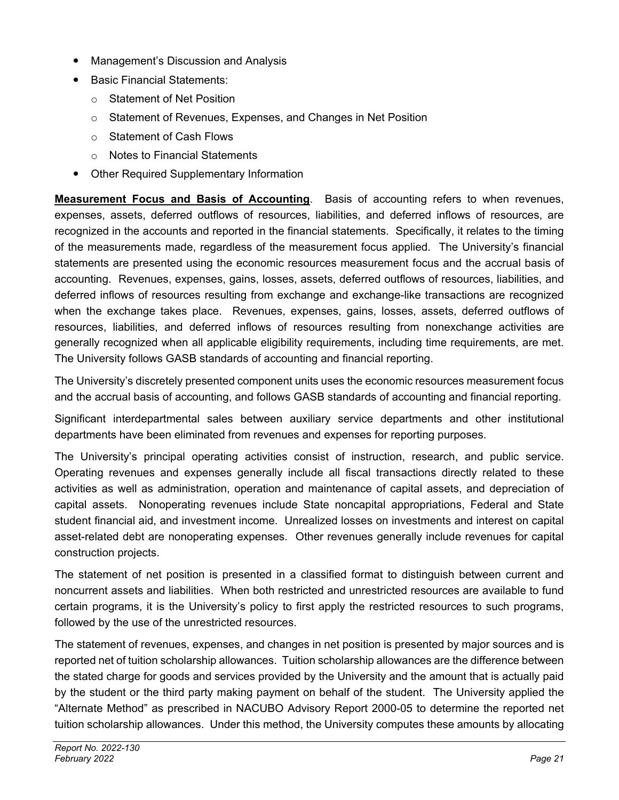- Management's Discussion and Analysis
- Basic Financial Statements:
	- o Statement of Net Position
	- o Statement of Revenues, Expenses, and Changes in Net Position
	- o Statement of Cash Flows
	- o Notes to Financial Statements
- Other Required Supplementary Information

**Measurement Focus and Basis of Accounting**. Basis of accounting refers to when revenues, expenses, assets, deferred outflows of resources, liabilities, and deferred inflows of resources, are recognized in the accounts and reported in the financial statements. Specifically, it relates to the timing of the measurements made, regardless of the measurement focus applied. The University's financial statements are presented using the economic resources measurement focus and the accrual basis of accounting. Revenues, expenses, gains, losses, assets, deferred outflows of resources, liabilities, and deferred inflows of resources resulting from exchange and exchange-like transactions are recognized when the exchange takes place. Revenues, expenses, gains, losses, assets, deferred outflows of resources, liabilities, and deferred inflows of resources resulting from nonexchange activities are generally recognized when all applicable eligibility requirements, including time requirements, are met. The University follows GASB standards of accounting and financial reporting.

The University's discretely presented component units uses the economic resources measurement focus and the accrual basis of accounting, and follows GASB standards of accounting and financial reporting.

Significant interdepartmental sales between auxiliary service departments and other institutional departments have been eliminated from revenues and expenses for reporting purposes.

The University's principal operating activities consist of instruction, research, and public service. Operating revenues and expenses generally include all fiscal transactions directly related to these activities as well as administration, operation and maintenance of capital assets, and depreciation of capital assets. Nonoperating revenues include State noncapital appropriations, Federal and State student financial aid, and investment income. Unrealized losses on investments and interest on capital asset-related debt are nonoperating expenses. Other revenues generally include revenues for capital construction projects.

The statement of net position is presented in a classified format to distinguish between current and noncurrent assets and liabilities. When both restricted and unrestricted resources are available to fund certain programs, it is the University's policy to first apply the restricted resources to such programs, followed by the use of the unrestricted resources.

The statement of revenues, expenses, and changes in net position is presented by major sources and is reported net of tuition scholarship allowances. Tuition scholarship allowances are the difference between the stated charge for goods and services provided by the University and the amount that is actually paid by the student or the third party making payment on behalf of the student. The University applied the "Alternate Method" as prescribed in NACUBO Advisory Report 2000-05 to determine the reported net tuition scholarship allowances. Under this method, the University computes these amounts by allocating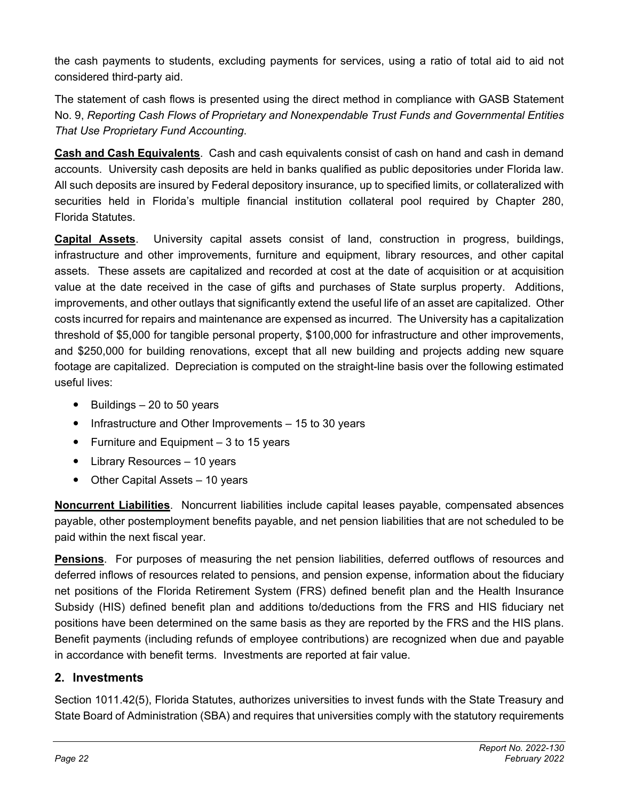the cash payments to students, excluding payments for services, using a ratio of total aid to aid not considered third-party aid.

The statement of cash flows is presented using the direct method in compliance with GASB Statement No. 9, *Reporting Cash Flows of Proprietary and Nonexpendable Trust Funds and Governmental Entities That Use Proprietary Fund Accounting*.

**Cash and Cash Equivalents**. Cash and cash equivalents consist of cash on hand and cash in demand accounts. University cash deposits are held in banks qualified as public depositories under Florida law. All such deposits are insured by Federal depository insurance, up to specified limits, or collateralized with securities held in Florida's multiple financial institution collateral pool required by Chapter 280, Florida Statutes.

**Capital Assets**. University capital assets consist of land, construction in progress, buildings, infrastructure and other improvements, furniture and equipment, library resources, and other capital assets. These assets are capitalized and recorded at cost at the date of acquisition or at acquisition value at the date received in the case of gifts and purchases of State surplus property. Additions, improvements, and other outlays that significantly extend the useful life of an asset are capitalized. Other costs incurred for repairs and maintenance are expensed as incurred. The University has a capitalization threshold of \$5,000 for tangible personal property, \$100,000 for infrastructure and other improvements, and \$250,000 for building renovations, except that all new building and projects adding new square footage are capitalized. Depreciation is computed on the straight-line basis over the following estimated useful lives:

- $\bullet$  Buildings 20 to 50 years
- $\bullet$  Infrastructure and Other Improvements  $-15$  to 30 years
- Furniture and Equipment  $-3$  to 15 years
- Library Resources 10 years
- Other Capital Assets 10 years

**Noncurrent Liabilities**. Noncurrent liabilities include capital leases payable, compensated absences payable, other postemployment benefits payable, and net pension liabilities that are not scheduled to be paid within the next fiscal year.

**Pensions**. For purposes of measuring the net pension liabilities, deferred outflows of resources and deferred inflows of resources related to pensions, and pension expense, information about the fiduciary net positions of the Florida Retirement System (FRS) defined benefit plan and the Health Insurance Subsidy (HIS) defined benefit plan and additions to/deductions from the FRS and HIS fiduciary net positions have been determined on the same basis as they are reported by the FRS and the HIS plans. Benefit payments (including refunds of employee contributions) are recognized when due and payable in accordance with benefit terms. Investments are reported at fair value.

# **2. Investments**

Section 1011.42(5), Florida Statutes, authorizes universities to invest funds with the State Treasury and State Board of Administration (SBA) and requires that universities comply with the statutory requirements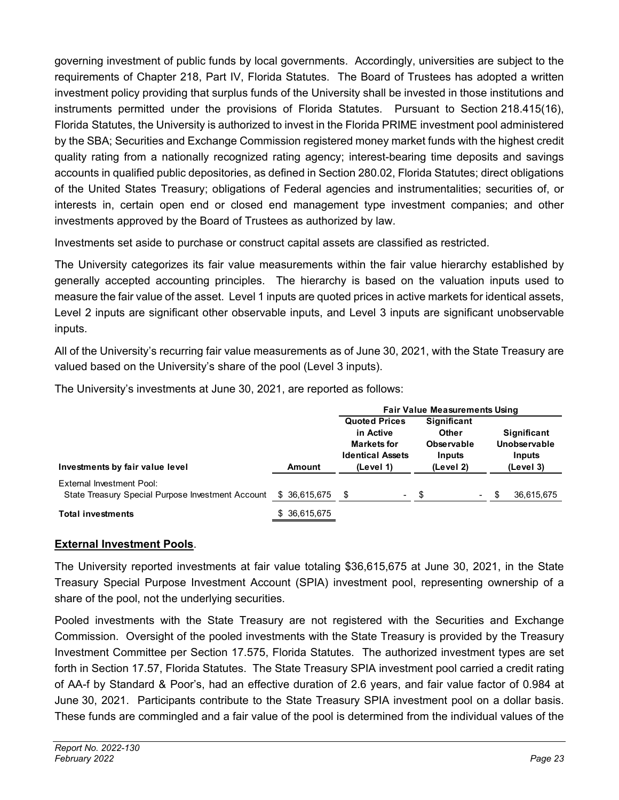governing investment of public funds by local governments. Accordingly, universities are subject to the requirements of Chapter 218, Part IV, Florida Statutes. The Board of Trustees has adopted a written investment policy providing that surplus funds of the University shall be invested in those institutions and instruments permitted under the provisions of Florida Statutes. Pursuant to Section 218.415(16), Florida Statutes, the University is authorized to invest in the Florida PRIME investment pool administered by the SBA; Securities and Exchange Commission registered money market funds with the highest credit quality rating from a nationally recognized rating agency; interest-bearing time deposits and savings accounts in qualified public depositories, as defined in Section 280.02, Florida Statutes; direct obligations of the United States Treasury; obligations of Federal agencies and instrumentalities; securities of, or interests in, certain open end or closed end management type investment companies; and other investments approved by the Board of Trustees as authorized by law.

Investments set aside to purchase or construct capital assets are classified as restricted.

The University categorizes its fair value measurements within the fair value hierarchy established by generally accepted accounting principles. The hierarchy is based on the valuation inputs used to measure the fair value of the asset. Level 1 inputs are quoted prices in active markets for identical assets, Level 2 inputs are significant other observable inputs, and Level 3 inputs are significant unobservable inputs.

All of the University's recurring fair value measurements as of June 30, 2021, with the State Treasury are valued based on the University's share of the pool (Level 3 inputs).

The University's investments at June 30, 2021, are reported as follows:

|                                                                                |               | <b>Fair Value Measurements Using</b>                                                            |                                                                  |                                                    |  |
|--------------------------------------------------------------------------------|---------------|-------------------------------------------------------------------------------------------------|------------------------------------------------------------------|----------------------------------------------------|--|
| Investments by fair value level                                                | <b>Amount</b> | <b>Quoted Prices</b><br>in Active<br><b>Markets for</b><br><b>Identical Assets</b><br>(Level 1) | Significant<br><b>Other</b><br>Observable<br>Inputs<br>(Level 2) | Significant<br>Unobservable<br>Inputs<br>(Level 3) |  |
| External Investment Pool:<br>State Treasury Special Purpose Investment Account | \$ 36,615,675 | \$.<br>$\overline{\phantom{a}}$                                                                 | - \$<br>$\sim$ $ \sim$                                           | 36,615,675<br>\$.                                  |  |
| <b>Total investments</b>                                                       | \$ 36,615,675 |                                                                                                 |                                                                  |                                                    |  |

# **External Investment Pools**.

The University reported investments at fair value totaling \$36,615,675 at June 30, 2021, in the State Treasury Special Purpose Investment Account (SPIA) investment pool, representing ownership of a share of the pool, not the underlying securities.

Pooled investments with the State Treasury are not registered with the Securities and Exchange Commission. Oversight of the pooled investments with the State Treasury is provided by the Treasury Investment Committee per Section 17.575, Florida Statutes. The authorized investment types are set forth in Section 17.57, Florida Statutes. The State Treasury SPIA investment pool carried a credit rating of AA-f by Standard & Poor's, had an effective duration of 2.6 years, and fair value factor of 0.984 at June 30, 2021. Participants contribute to the State Treasury SPIA investment pool on a dollar basis. These funds are commingled and a fair value of the pool is determined from the individual values of the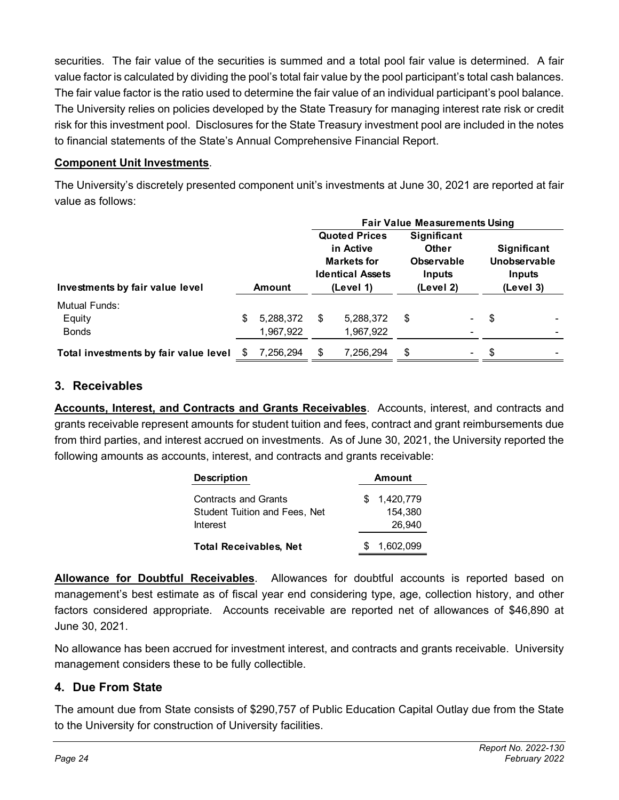securities. The fair value of the securities is summed and a total pool fair value is determined. A fair value factor is calculated by dividing the pool's total fair value by the pool participant's total cash balances. The fair value factor is the ratio used to determine the fair value of an individual participant's pool balance. The University relies on policies developed by the State Treasury for managing interest rate risk or credit risk for this investment pool. Disclosures for the State Treasury investment pool are included in the notes to financial statements of the State's Annual Comprehensive Financial Report.

# **Component Unit Investments**.

The University's discretely presented component unit's investments at June 30, 2021 are reported at fair value as follows:

|                                       |                 | <b>Fair Value Measurements Using</b>                                                                                                                                              |           |    |                                                    |      |  |
|---------------------------------------|-----------------|-----------------------------------------------------------------------------------------------------------------------------------------------------------------------------------|-----------|----|----------------------------------------------------|------|--|
| Investments by fair value level       | <b>Amount</b>   | <b>Quoted Prices</b><br><b>Significant</b><br>in Active<br><b>Other</b><br><b>Markets for</b><br><b>Observable</b><br><b>Identical Assets</b><br>Inputs<br>(Level 2)<br>(Level 1) |           |    | Significant<br>Unobservable<br>Inputs<br>(Level 3) |      |  |
| Mutual Funds:                         |                 |                                                                                                                                                                                   |           |    |                                                    |      |  |
| Equity                                | \$<br>5,288,372 | \$                                                                                                                                                                                | 5,288,372 | \$ |                                                    | \$   |  |
| <b>Bonds</b>                          | 1,967,922       |                                                                                                                                                                                   | 1,967,922 |    |                                                    |      |  |
| Total investments by fair value level | 7,256,294       |                                                                                                                                                                                   | 7,256,294 | \$ | ۰                                                  | - \$ |  |

# **3. Receivables**

**Accounts, Interest, and Contracts and Grants Receivables**. Accounts, interest, and contracts and grants receivable represent amounts for student tuition and fees, contract and grant reimbursements due from third parties, and interest accrued on investments. As of June 30, 2021, the University reported the following amounts as accounts, interest, and contracts and grants receivable:

| <b>Description</b>                                                                     | Amount |                                |  |
|----------------------------------------------------------------------------------------|--------|--------------------------------|--|
| <b>Contracts and Grants</b><br><b>Student Tuition and Fees, Net</b><br><b>Interest</b> | \$     | 1,420,779<br>154.380<br>26.940 |  |
| <b>Total Receivables, Net</b>                                                          |        | 1,602,099                      |  |

**Allowance for Doubtful Receivables**. Allowances for doubtful accounts is reported based on management's best estimate as of fiscal year end considering type, age, collection history, and other factors considered appropriate. Accounts receivable are reported net of allowances of \$46,890 at June 30, 2021.

No allowance has been accrued for investment interest, and contracts and grants receivable. University management considers these to be fully collectible.

# **4. Due From State**

The amount due from State consists of \$290,757 of Public Education Capital Outlay due from the State to the University for construction of University facilities.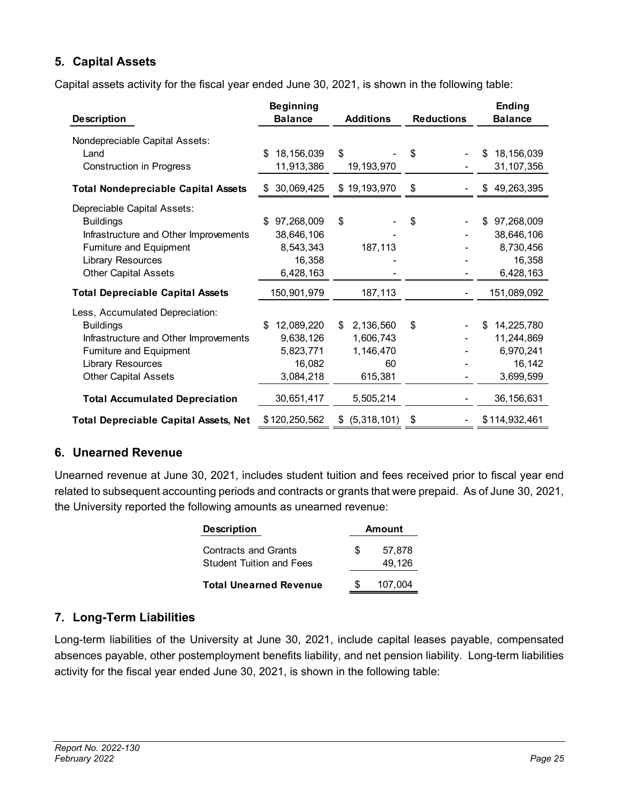# **5. Capital Assets**

Capital assets activity for the fiscal year ended June 30, 2021, is shown in the following table:

| <b>Description</b>                           | <b>Beginning</b><br><b>Balance</b> | <b>Additions</b>  | <b>Reductions</b> | Ending<br><b>Balance</b> |
|----------------------------------------------|------------------------------------|-------------------|-------------------|--------------------------|
| Nondepreciable Capital Assets:               |                                    |                   |                   |                          |
| Land                                         | 18,156,039<br>\$.                  | \$                | \$                | 18,156,039<br>\$         |
| <b>Construction in Progress</b>              | 11,913,386                         | 19,193,970        |                   | 31, 107, 356             |
| <b>Total Nondepreciable Capital Assets</b>   | 30,069,425<br>S                    | \$19,193,970      | \$                | 49,263,395<br>\$         |
| Depreciable Capital Assets:                  |                                    |                   |                   |                          |
| <b>Buildings</b>                             | 97,268,009<br>\$                   | \$                | \$                | 97,268,009<br>\$         |
| Infrastructure and Other Improvements        | 38,646,106                         |                   |                   | 38,646,106               |
| Furniture and Equipment                      | 8,543,343                          | 187,113           |                   | 8,730,456                |
| <b>Library Resources</b>                     | 16,358                             |                   |                   | 16,358                   |
| <b>Other Capital Assets</b>                  | 6,428,163                          |                   |                   | 6,428,163                |
| <b>Total Depreciable Capital Assets</b>      | 150,901,979                        | 187,113           |                   | 151,089,092              |
| Less, Accumulated Depreciation:              |                                    |                   |                   |                          |
| <b>Buildings</b>                             | 12,089,220<br>\$                   | 2,136,560<br>\$   | \$                | 14,225,780<br>\$         |
| Infrastructure and Other Improvements        | 9,638,126                          | 1,606,743         |                   | 11,244,869               |
| Furniture and Equipment                      | 5,823,771                          | 1,146,470         |                   | 6,970,241                |
| <b>Library Resources</b>                     | 16,082                             | 60                |                   | 16,142                   |
| <b>Other Capital Assets</b>                  | 3,084,218                          | 615,381           |                   | 3,699,599                |
| <b>Total Accumulated Depreciation</b>        | 30,651,417                         | 5,505,214         |                   | 36, 156, 631             |
| <b>Total Depreciable Capital Assets, Net</b> | \$120,250,562                      | (5,318,101)<br>\$ | \$                | \$114,932,461            |

# **6. Unearned Revenue**

Unearned revenue at June 30, 2021, includes student tuition and fees received prior to fiscal year end related to subsequent accounting periods and contracts or grants that were prepaid. As of June 30, 2021, the University reported the following amounts as unearned revenue:

| <b>Description</b>                                             | Amount |                  |  |
|----------------------------------------------------------------|--------|------------------|--|
| <b>Contracts and Grants</b><br><b>Student Tuition and Fees</b> |        | 57.878<br>49.126 |  |
| <b>Total Unearned Revenue</b>                                  |        | 107.004          |  |

# **7. Long-Term Liabilities**

Long-term liabilities of the University at June 30, 2021, include capital leases payable, compensated absences payable, other postemployment benefits liability, and net pension liability. Long-term liabilities activity for the fiscal year ended June 30, 2021, is shown in the following table: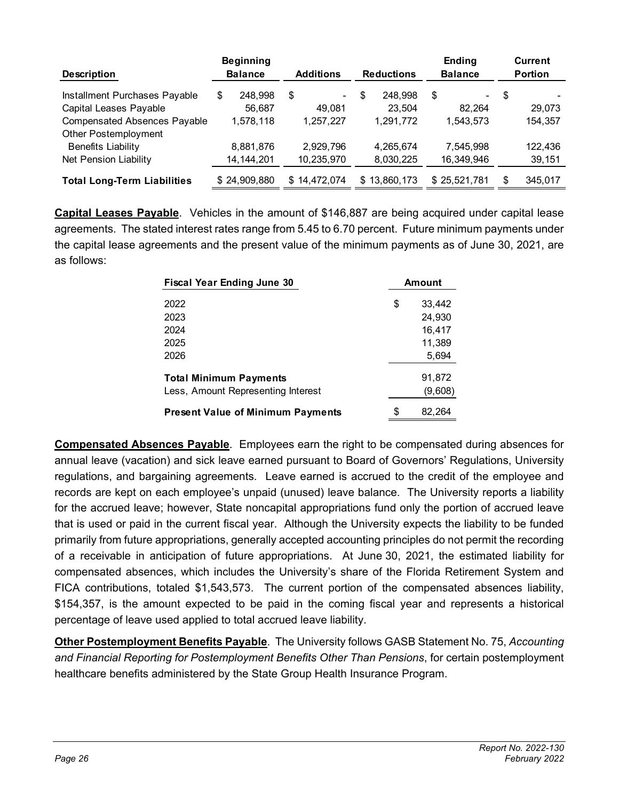| <b>Description</b>                  | <b>Beginning</b><br><b>Balance</b> | <b>Additions</b> | <b>Reductions</b> | <b>Ending</b><br><b>Balance</b> | <b>Current</b><br><b>Portion</b> |
|-------------------------------------|------------------------------------|------------------|-------------------|---------------------------------|----------------------------------|
|                                     |                                    |                  |                   |                                 |                                  |
| Installment Purchases Payable       | \$<br>248.998                      | \$<br>۰.         | 248.998<br>\$     | \$<br>۰.                        | -\$                              |
| Capital Leases Payable              | 56,687                             | 49.081           | 23.504            | 82.264                          | 29,073                           |
| <b>Compensated Absences Payable</b> | 1,578,118                          | 1,257,227        | 1,291,772         | 1,543,573                       | 154,357                          |
| <b>Other Postemployment</b>         |                                    |                  |                   |                                 |                                  |
| <b>Benefits Liability</b>           | 8,881,876                          | 2.929.796        | 4,265,674         | 7.545.998                       | 122,436                          |
| Net Pension Liability               | 14, 144, 201                       | 10,235,970       | 8,030,225         | 16,349,946                      | 39,151                           |
| <b>Total Long-Term Liabilities</b>  | \$24,909,880                       | \$14,472,074     | \$13,860,173      | \$25,521,781                    | \$<br>345,017                    |

**Capital Leases Payable**. Vehicles in the amount of \$146,887 are being acquired under capital lease agreements. The stated interest rates range from 5.45 to 6.70 percent. Future minimum payments under the capital lease agreements and the present value of the minimum payments as of June 30, 2021, are as follows:

| <b>Fiscal Year Ending June 30</b>                                   |    | <b>Amount</b>     |
|---------------------------------------------------------------------|----|-------------------|
| 2022                                                                | \$ | 33,442            |
| 2023                                                                |    | 24,930            |
| 2024                                                                |    | 16,417            |
| 2025                                                                |    | 11,389            |
| 2026                                                                |    | 5,694             |
| <b>Total Minimum Payments</b><br>Less, Amount Representing Interest |    | 91,872<br>(9,608) |
| <b>Present Value of Minimum Payments</b>                            | S. | 82,264            |

**Compensated Absences Payable**. Employees earn the right to be compensated during absences for annual leave (vacation) and sick leave earned pursuant to Board of Governors' Regulations, University regulations, and bargaining agreements. Leave earned is accrued to the credit of the employee and records are kept on each employee's unpaid (unused) leave balance. The University reports a liability for the accrued leave; however, State noncapital appropriations fund only the portion of accrued leave that is used or paid in the current fiscal year. Although the University expects the liability to be funded primarily from future appropriations, generally accepted accounting principles do not permit the recording of a receivable in anticipation of future appropriations. At June 30, 2021, the estimated liability for compensated absences, which includes the University's share of the Florida Retirement System and FICA contributions, totaled \$1,543,573. The current portion of the compensated absences liability, \$154,357, is the amount expected to be paid in the coming fiscal year and represents a historical percentage of leave used applied to total accrued leave liability.

**Other Postemployment Benefits Payable**. The University follows GASB Statement No. 75, *Accounting and Financial Reporting for Postemployment Benefits Other Than Pensions*, for certain postemployment healthcare benefits administered by the State Group Health Insurance Program.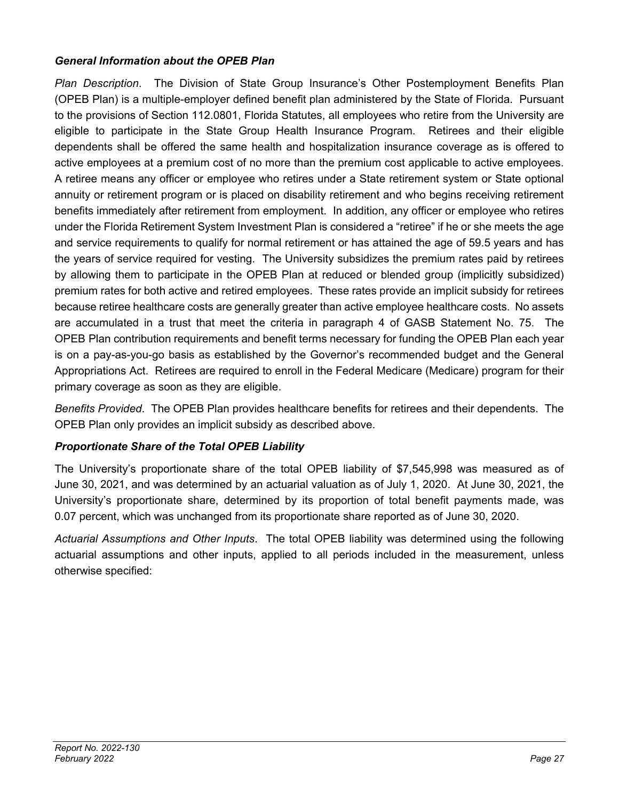# *General Information about the OPEB Plan*

*Plan Description*. The Division of State Group Insurance's Other Postemployment Benefits Plan (OPEB Plan) is a multiple-employer defined benefit plan administered by the State of Florida. Pursuant to the provisions of Section 112.0801, Florida Statutes, all employees who retire from the University are eligible to participate in the State Group Health Insurance Program. Retirees and their eligible dependents shall be offered the same health and hospitalization insurance coverage as is offered to active employees at a premium cost of no more than the premium cost applicable to active employees. A retiree means any officer or employee who retires under a State retirement system or State optional annuity or retirement program or is placed on disability retirement and who begins receiving retirement benefits immediately after retirement from employment. In addition, any officer or employee who retires under the Florida Retirement System Investment Plan is considered a "retiree" if he or she meets the age and service requirements to qualify for normal retirement or has attained the age of 59.5 years and has the years of service required for vesting. The University subsidizes the premium rates paid by retirees by allowing them to participate in the OPEB Plan at reduced or blended group (implicitly subsidized) premium rates for both active and retired employees. These rates provide an implicit subsidy for retirees because retiree healthcare costs are generally greater than active employee healthcare costs. No assets are accumulated in a trust that meet the criteria in paragraph 4 of GASB Statement No. 75. The OPEB Plan contribution requirements and benefit terms necessary for funding the OPEB Plan each year is on a pay-as-you-go basis as established by the Governor's recommended budget and the General Appropriations Act. Retirees are required to enroll in the Federal Medicare (Medicare) program for their primary coverage as soon as they are eligible.

*Benefits Provided*. The OPEB Plan provides healthcare benefits for retirees and their dependents. The OPEB Plan only provides an implicit subsidy as described above.

# *Proportionate Share of the Total OPEB Liability*

The University's proportionate share of the total OPEB liability of \$7,545,998 was measured as of June 30, 2021, and was determined by an actuarial valuation as of July 1, 2020. At June 30, 2021, the University's proportionate share, determined by its proportion of total benefit payments made, was 0.07 percent, which was unchanged from its proportionate share reported as of June 30, 2020.

*Actuarial Assumptions and Other Inputs*. The total OPEB liability was determined using the following actuarial assumptions and other inputs, applied to all periods included in the measurement, unless otherwise specified: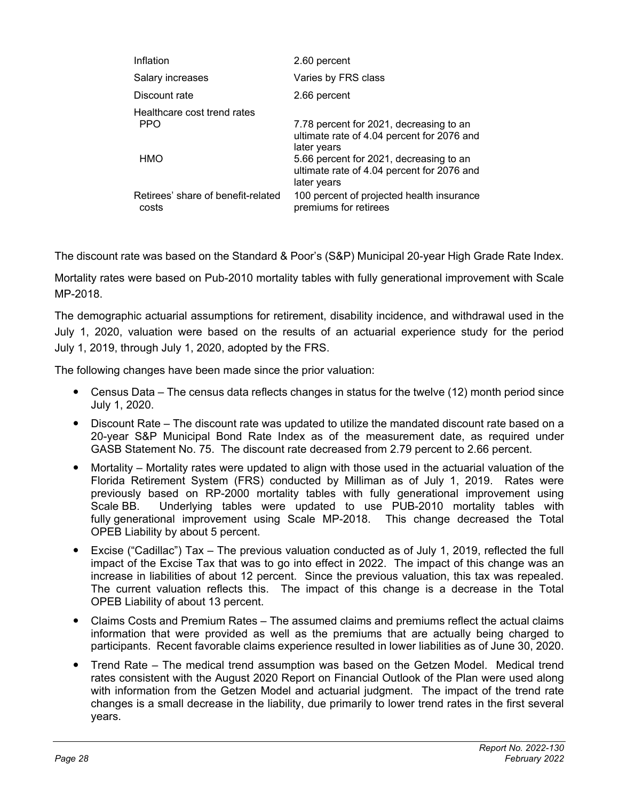| 2.60 percent                                                                                         |
|------------------------------------------------------------------------------------------------------|
| Varies by FRS class                                                                                  |
| 2.66 percent                                                                                         |
|                                                                                                      |
| 7.78 percent for 2021, decreasing to an<br>ultimate rate of 4.04 percent for 2076 and<br>later years |
| 5.66 percent for 2021, decreasing to an<br>ultimate rate of 4.04 percent for 2076 and<br>later years |
| 100 percent of projected health insurance<br>premiums for retirees                                   |
|                                                                                                      |

The discount rate was based on the Standard & Poor's (S&P) Municipal 20-year High Grade Rate Index.

Mortality rates were based on Pub-2010 mortality tables with fully generational improvement with Scale MP-2018.

The demographic actuarial assumptions for retirement, disability incidence, and withdrawal used in the July 1, 2020, valuation were based on the results of an actuarial experience study for the period July 1, 2019, through July 1, 2020, adopted by the FRS.

The following changes have been made since the prior valuation:

- Census Data The census data reflects changes in status for the twelve (12) month period since July 1, 2020.
- Discount Rate The discount rate was updated to utilize the mandated discount rate based on a 20-year S&P Municipal Bond Rate Index as of the measurement date, as required under GASB Statement No. 75. The discount rate decreased from 2.79 percent to 2.66 percent.
- Mortality Mortality rates were updated to align with those used in the actuarial valuation of the Florida Retirement System (FRS) conducted by Milliman as of July 1, 2019. Rates were previously based on RP-2000 mortality tables with fully generational improvement using Scale BB. Underlying tables were updated to use PUB-2010 mortality tables with fully generational improvement using Scale MP-2018. This change decreased the Total OPEB Liability by about 5 percent.
- Excise ("Cadillac") Tax The previous valuation conducted as of July 1, 2019, reflected the full impact of the Excise Tax that was to go into effect in 2022. The impact of this change was an increase in liabilities of about 12 percent. Since the previous valuation, this tax was repealed. The current valuation reflects this. The impact of this change is a decrease in the Total OPEB Liability of about 13 percent.
- Claims Costs and Premium Rates The assumed claims and premiums reflect the actual claims information that were provided as well as the premiums that are actually being charged to participants. Recent favorable claims experience resulted in lower liabilities as of June 30, 2020.
- Trend Rate The medical trend assumption was based on the Getzen Model. Medical trend rates consistent with the August 2020 Report on Financial Outlook of the Plan were used along with information from the Getzen Model and actuarial judgment. The impact of the trend rate changes is a small decrease in the liability, due primarily to lower trend rates in the first several years.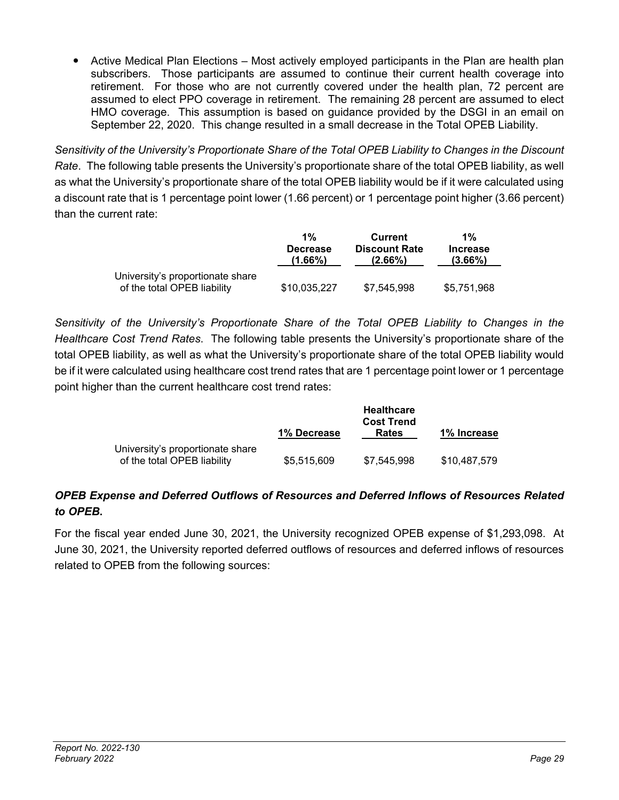Active Medical Plan Elections – Most actively employed participants in the Plan are health plan subscribers. Those participants are assumed to continue their current health coverage into retirement. For those who are not currently covered under the health plan, 72 percent are assumed to elect PPO coverage in retirement. The remaining 28 percent are assumed to elect HMO coverage. This assumption is based on guidance provided by the DSGI in an email on September 22, 2020. This change resulted in a small decrease in the Total OPEB Liability.

*Sensitivity of the University's Proportionate Share of the Total OPEB Liability to Changes in the Discount Rate*. The following table presents the University's proportionate share of the total OPEB liability, as well as what the University's proportionate share of the total OPEB liability would be if it were calculated using a discount rate that is 1 percentage point lower (1.66 percent) or 1 percentage point higher (3.66 percent) than the current rate:

|                                                                 | $1\%$           | <b>Current</b>       | $1\%$           |
|-----------------------------------------------------------------|-----------------|----------------------|-----------------|
|                                                                 | <b>Decrease</b> | <b>Discount Rate</b> | <b>Increase</b> |
|                                                                 | $(1.66\%)$      | $(2.66\%)$           | $(3.66\%)$      |
| University's proportionate share<br>of the total OPEB liability | \$10,035,227    | \$7.545.998          | \$5,751,968     |

*Sensitivity of the University's Proportionate Share of the Total OPEB Liability to Changes in the Healthcare Cost Trend Rates*. The following table presents the University's proportionate share of the total OPEB liability, as well as what the University's proportionate share of the total OPEB liability would be if it were calculated using healthcare cost trend rates that are 1 percentage point lower or 1 percentage point higher than the current healthcare cost trend rates:

|                                  | <b>1% Decrease</b> | <b>Healthcare</b><br><b>Cost Trend</b><br><b>Rates</b> | 1% Increase  |
|----------------------------------|--------------------|--------------------------------------------------------|--------------|
| University's proportionate share |                    |                                                        |              |
| of the total OPEB liability      | \$5,515,609        | \$7.545.998                                            | \$10.487.579 |

# *OPEB Expense and Deferred Outflows of Resources and Deferred Inflows of Resources Related to OPEB***.**

For the fiscal year ended June 30, 2021, the University recognized OPEB expense of \$1,293,098. At June 30, 2021, the University reported deferred outflows of resources and deferred inflows of resources related to OPEB from the following sources: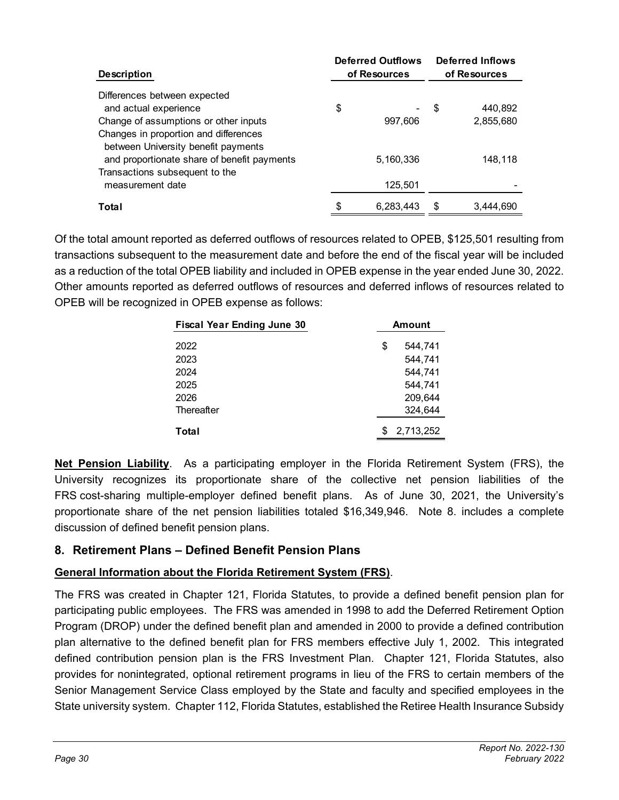| <b>Description</b>                                                           | <b>Deferred Outflows</b><br>of Resources |           | <b>Deferred Inflows</b><br>of Resources |           |
|------------------------------------------------------------------------------|------------------------------------------|-----------|-----------------------------------------|-----------|
| Differences between expected                                                 |                                          |           |                                         |           |
| and actual experience                                                        | \$                                       |           | \$                                      | 440.892   |
| Change of assumptions or other inputs                                        |                                          | 997,606   |                                         | 2,855,680 |
| Changes in proportion and differences<br>between University benefit payments |                                          |           |                                         |           |
| and proportionate share of benefit payments                                  |                                          | 5,160,336 |                                         | 148,118   |
| Transactions subsequent to the                                               |                                          |           |                                         |           |
| measurement date                                                             |                                          | 125,501   |                                         |           |
| Total                                                                        | \$                                       | 6,283,443 | \$                                      | 3.444.690 |

Of the total amount reported as deferred outflows of resources related to OPEB, \$125,501 resulting from transactions subsequent to the measurement date and before the end of the fiscal year will be included as a reduction of the total OPEB liability and included in OPEB expense in the year ended June 30, 2022. Other amounts reported as deferred outflows of resources and deferred inflows of resources related to OPEB will be recognized in OPEB expense as follows:

| <b>Fiscal Year Ending June 30</b> |    | Amount             |  |  |
|-----------------------------------|----|--------------------|--|--|
| 2022                              | \$ | 544,741            |  |  |
| 2023<br>2024                      |    | 544,741<br>544,741 |  |  |
| 2025<br>2026                      |    | 544,741<br>209,644 |  |  |
| Thereafter                        |    | 324,644            |  |  |
| Total                             | \$ | 2,713,252          |  |  |

**Net Pension Liability**. As a participating employer in the Florida Retirement System (FRS), the University recognizes its proportionate share of the collective net pension liabilities of the FRS cost-sharing multiple-employer defined benefit plans. As of June 30, 2021, the University's proportionate share of the net pension liabilities totaled \$16,349,946. Note 8. includes a complete discussion of defined benefit pension plans.

# **8. Retirement Plans – Defined Benefit Pension Plans**

# **General Information about the Florida Retirement System (FRS)**.

The FRS was created in Chapter 121, Florida Statutes, to provide a defined benefit pension plan for participating public employees. The FRS was amended in 1998 to add the Deferred Retirement Option Program (DROP) under the defined benefit plan and amended in 2000 to provide a defined contribution plan alternative to the defined benefit plan for FRS members effective July 1, 2002. This integrated defined contribution pension plan is the FRS Investment Plan. Chapter 121, Florida Statutes, also provides for nonintegrated, optional retirement programs in lieu of the FRS to certain members of the Senior Management Service Class employed by the State and faculty and specified employees in the State university system. Chapter 112, Florida Statutes, established the Retiree Health Insurance Subsidy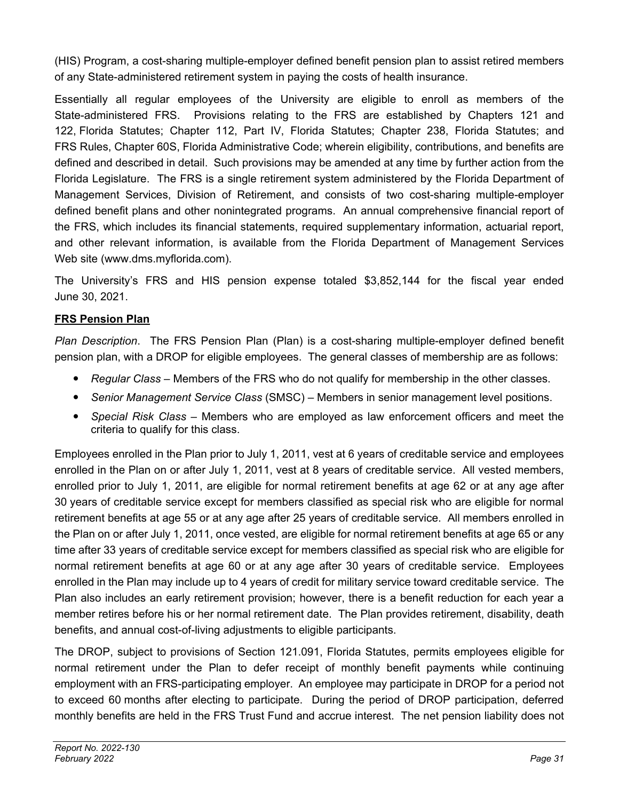(HIS) Program, a cost-sharing multiple-employer defined benefit pension plan to assist retired members of any State-administered retirement system in paying the costs of health insurance.

Essentially all regular employees of the University are eligible to enroll as members of the State-administered FRS. Provisions relating to the FRS are established by Chapters 121 and 122, Florida Statutes; Chapter 112, Part IV, Florida Statutes; Chapter 238, Florida Statutes; and FRS Rules, Chapter 60S, Florida Administrative Code; wherein eligibility, contributions, and benefits are defined and described in detail. Such provisions may be amended at any time by further action from the Florida Legislature. The FRS is a single retirement system administered by the Florida Department of Management Services, Division of Retirement, and consists of two cost-sharing multiple-employer defined benefit plans and other nonintegrated programs. An annual comprehensive financial report of the FRS, which includes its financial statements, required supplementary information, actuarial report, and other relevant information, is available from the Florida Department of Management Services Web site (www.dms.myflorida.com).

The University's FRS and HIS pension expense totaled \$3,852,144 for the fiscal year ended June 30, 2021.

# **FRS Pension Plan**

*Plan Description*. The FRS Pension Plan (Plan) is a cost-sharing multiple-employer defined benefit pension plan, with a DROP for eligible employees. The general classes of membership are as follows:

- *Regular Class* Members of the FRS who do not qualify for membership in the other classes.
- *Senior Management Service Class* (SMSC) Members in senior management level positions.
- *Special Risk Class* Members who are employed as law enforcement officers and meet the criteria to qualify for this class.

Employees enrolled in the Plan prior to July 1, 2011, vest at 6 years of creditable service and employees enrolled in the Plan on or after July 1, 2011, vest at 8 years of creditable service. All vested members, enrolled prior to July 1, 2011, are eligible for normal retirement benefits at age 62 or at any age after 30 years of creditable service except for members classified as special risk who are eligible for normal retirement benefits at age 55 or at any age after 25 years of creditable service. All members enrolled in the Plan on or after July 1, 2011, once vested, are eligible for normal retirement benefits at age 65 or any time after 33 years of creditable service except for members classified as special risk who are eligible for normal retirement benefits at age 60 or at any age after 30 years of creditable service. Employees enrolled in the Plan may include up to 4 years of credit for military service toward creditable service. The Plan also includes an early retirement provision; however, there is a benefit reduction for each year a member retires before his or her normal retirement date. The Plan provides retirement, disability, death benefits, and annual cost-of-living adjustments to eligible participants.

The DROP, subject to provisions of Section 121.091, Florida Statutes, permits employees eligible for normal retirement under the Plan to defer receipt of monthly benefit payments while continuing employment with an FRS-participating employer. An employee may participate in DROP for a period not to exceed 60 months after electing to participate. During the period of DROP participation, deferred monthly benefits are held in the FRS Trust Fund and accrue interest. The net pension liability does not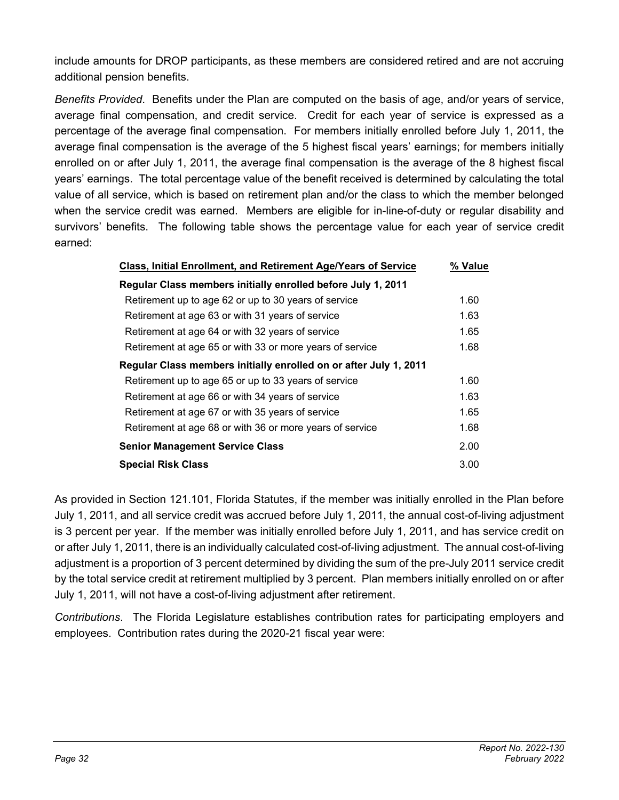include amounts for DROP participants, as these members are considered retired and are not accruing additional pension benefits.

*Benefits Provided*. Benefits under the Plan are computed on the basis of age, and/or years of service, average final compensation, and credit service. Credit for each year of service is expressed as a percentage of the average final compensation. For members initially enrolled before July 1, 2011, the average final compensation is the average of the 5 highest fiscal years' earnings; for members initially enrolled on or after July 1, 2011, the average final compensation is the average of the 8 highest fiscal years' earnings. The total percentage value of the benefit received is determined by calculating the total value of all service, which is based on retirement plan and/or the class to which the member belonged when the service credit was earned. Members are eligible for in-line-of-duty or regular disability and survivors' benefits. The following table shows the percentage value for each year of service credit earned:

| Class, Initial Enrollment, and Retirement Age/Years of Service    | % Value |
|-------------------------------------------------------------------|---------|
| Regular Class members initially enrolled before July 1, 2011      |         |
| Retirement up to age 62 or up to 30 years of service              | 1.60    |
| Retirement at age 63 or with 31 years of service                  | 1.63    |
| Retirement at age 64 or with 32 years of service                  | 1.65    |
| Retirement at age 65 or with 33 or more years of service          | 1.68    |
| Regular Class members initially enrolled on or after July 1, 2011 |         |
| Retirement up to age 65 or up to 33 years of service              | 1.60    |
| Retirement at age 66 or with 34 years of service                  | 1.63    |
| Retirement at age 67 or with 35 years of service                  | 1.65    |
| Retirement at age 68 or with 36 or more years of service          | 1.68    |
| <b>Senior Management Service Class</b>                            | 2.00    |
| <b>Special Risk Class</b>                                         | 3.00    |
|                                                                   |         |

As provided in Section 121.101, Florida Statutes, if the member was initially enrolled in the Plan before July 1, 2011, and all service credit was accrued before July 1, 2011, the annual cost-of-living adjustment is 3 percent per year. If the member was initially enrolled before July 1, 2011, and has service credit on or after July 1, 2011, there is an individually calculated cost-of-living adjustment. The annual cost-of-living adjustment is a proportion of 3 percent determined by dividing the sum of the pre-July 2011 service credit by the total service credit at retirement multiplied by 3 percent. Plan members initially enrolled on or after July 1, 2011, will not have a cost-of-living adjustment after retirement.

*Contributions*. The Florida Legislature establishes contribution rates for participating employers and employees. Contribution rates during the 2020-21 fiscal year were: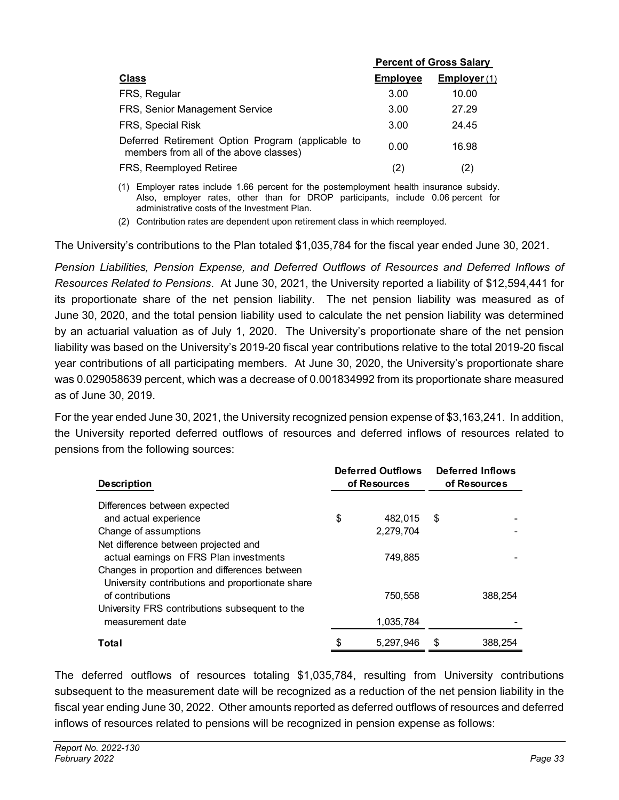|                                                                                             | <b>Percent of Gross Salary</b> |             |  |
|---------------------------------------------------------------------------------------------|--------------------------------|-------------|--|
| <b>Class</b>                                                                                | <b>Employee</b>                | Emplover(1) |  |
| FRS, Regular                                                                                | 3.00                           | 10.00       |  |
| FRS, Senior Management Service                                                              | 3.00                           | 27.29       |  |
| FRS, Special Risk                                                                           | 3.00                           | 24.45       |  |
| Deferred Retirement Option Program (applicable to<br>members from all of the above classes) | 0.00                           | 16.98       |  |
| FRS, Reemployed Retiree                                                                     | (2)                            | (2)         |  |

(1) Employer rates include 1.66 percent for the postemployment health insurance subsidy. Also, employer rates, other than for DROP participants, include 0.06 percent for administrative costs of the Investment Plan.

(2) Contribution rates are dependent upon retirement class in which reemployed.

The University's contributions to the Plan totaled \$1,035,784 for the fiscal year ended June 30, 2021.

*Pension Liabilities, Pension Expense, and Deferred Outflows of Resources and Deferred Inflows of Resources Related to Pensions*. At June 30, 2021, the University reported a liability of \$12,594,441 for its proportionate share of the net pension liability. The net pension liability was measured as of June 30, 2020, and the total pension liability used to calculate the net pension liability was determined by an actuarial valuation as of July 1, 2020. The University's proportionate share of the net pension liability was based on the University's 2019-20 fiscal year contributions relative to the total 2019-20 fiscal year contributions of all participating members. At June 30, 2020, the University's proportionate share was 0.029058639 percent, which was a decrease of 0.001834992 from its proportionate share measured as of June 30, 2019.

For the year ended June 30, 2021, the University recognized pension expense of \$3,163,241. In addition, the University reported deferred outflows of resources and deferred inflows of resources related to pensions from the following sources:

| <b>Description</b>                                                                                | <b>Deferred Outflows</b><br>of Resources |           | <b>Deferred Inflows</b><br>of Resources |         |
|---------------------------------------------------------------------------------------------------|------------------------------------------|-----------|-----------------------------------------|---------|
| Differences between expected                                                                      |                                          |           |                                         |         |
| and actual experience                                                                             | \$                                       | 482.015   | S                                       |         |
| Change of assumptions                                                                             |                                          | 2,279,704 |                                         |         |
| Net difference between projected and                                                              |                                          |           |                                         |         |
| actual earnings on FRS Plan investments                                                           |                                          | 749.885   |                                         |         |
| Changes in proportion and differences between<br>University contributions and proportionate share |                                          |           |                                         |         |
| of contributions                                                                                  |                                          | 750.558   |                                         | 388,254 |
| University FRS contributions subsequent to the                                                    |                                          |           |                                         |         |
| measurement date                                                                                  |                                          | 1,035,784 |                                         |         |
| Total                                                                                             | \$                                       | 5,297,946 | \$                                      | 388,254 |

The deferred outflows of resources totaling \$1,035,784, resulting from University contributions subsequent to the measurement date will be recognized as a reduction of the net pension liability in the fiscal year ending June 30, 2022. Other amounts reported as deferred outflows of resources and deferred inflows of resources related to pensions will be recognized in pension expense as follows: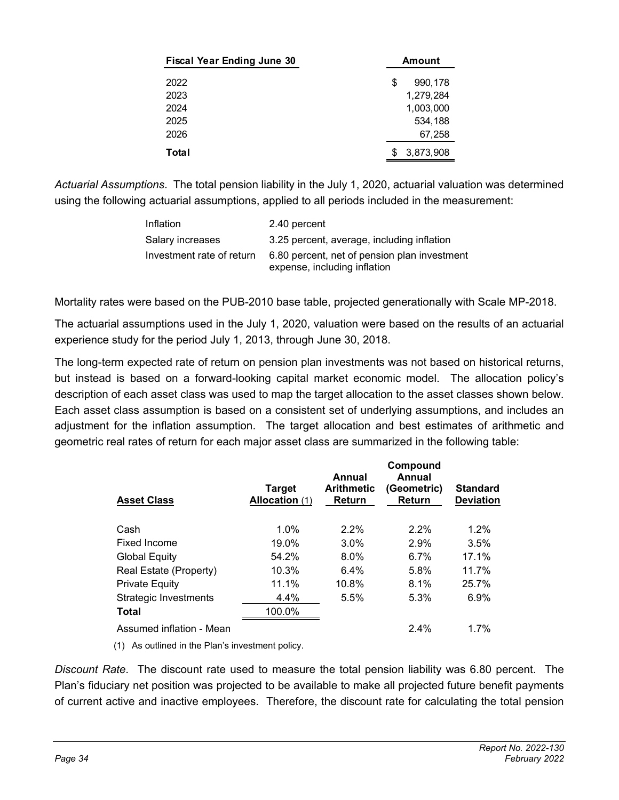| <b>Fiscal Year Ending June 30</b> | Amount |           |
|-----------------------------------|--------|-----------|
| 2022                              | \$     | 990,178   |
| 2023                              |        | 1,279,284 |
| 2024                              |        | 1,003,000 |
| 2025                              |        | 534,188   |
| 2026                              |        | 67,258    |
| <b>Total</b>                      |        | 3,873,908 |

*Actuarial Assumptions*. The total pension liability in the July 1, 2020, actuarial valuation was determined using the following actuarial assumptions, applied to all periods included in the measurement:

| Inflation                 | 2.40 percent                                                                 |
|---------------------------|------------------------------------------------------------------------------|
| Salary increases          | 3.25 percent, average, including inflation                                   |
| Investment rate of return | 6.80 percent, net of pension plan investment<br>expense, including inflation |

Mortality rates were based on the PUB-2010 base table, projected generationally with Scale MP-2018.

The actuarial assumptions used in the July 1, 2020, valuation were based on the results of an actuarial experience study for the period July 1, 2013, through June 30, 2018.

The long-term expected rate of return on pension plan investments was not based on historical returns, but instead is based on a forward-looking capital market economic model. The allocation policy's description of each asset class was used to map the target allocation to the asset classes shown below. Each asset class assumption is based on a consistent set of underlying assumptions, and includes an adjustment for the inflation assumption. The target allocation and best estimates of arithmetic and geometric real rates of return for each major asset class are summarized in the following table:

| <b>Asset Class</b>           | <b>Target</b><br>Allocation (1) | Annual<br><b>Arithmetic</b><br><b>Return</b> | Compound<br>Annual<br>(Geometric)<br>Return | <b>Standard</b><br><b>Deviation</b> |
|------------------------------|---------------------------------|----------------------------------------------|---------------------------------------------|-------------------------------------|
| Cash                         | 1.0%                            | $2.2\%$                                      | 2.2%                                        | 1.2%                                |
| Fixed Income                 | 19.0%                           | 3.0%                                         | 2.9%                                        | 3.5%                                |
| <b>Global Equity</b>         | 54.2%                           | $8.0\%$                                      | 6.7%                                        | 17.1%                               |
| Real Estate (Property)       | 10.3%                           | $6.4\%$                                      | 5.8%                                        | 11.7%                               |
| <b>Private Equity</b>        | 11.1%                           | 10.8%                                        | 8.1%                                        | 25.7%                               |
| <b>Strategic Investments</b> | 4.4%                            | 5.5%                                         | 5.3%                                        | 6.9%                                |
| Total                        | 100.0%                          |                                              |                                             |                                     |
| Assumed inflation - Mean     |                                 |                                              | 2.4%                                        | 1.7%                                |

(1) As outlined in the Plan's investment policy.

*Discount Rate*. The discount rate used to measure the total pension liability was 6.80 percent. The Plan's fiduciary net position was projected to be available to make all projected future benefit payments of current active and inactive employees. Therefore, the discount rate for calculating the total pension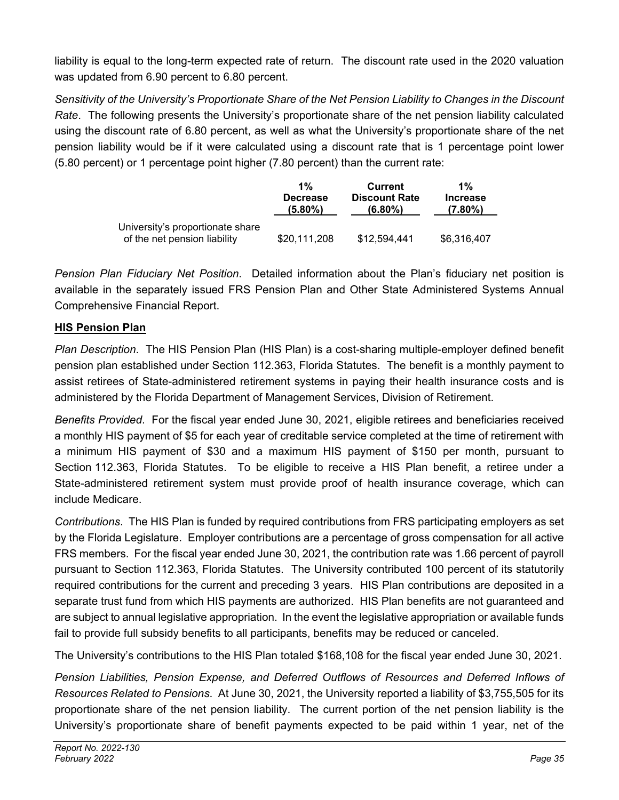liability is equal to the long-term expected rate of return. The discount rate used in the 2020 valuation was updated from 6.90 percent to 6.80 percent.

*Sensitivity of the University's Proportionate Share of the Net Pension Liability to Changes in the Discount Rate*. The following presents the University's proportionate share of the net pension liability calculated using the discount rate of 6.80 percent, as well as what the University's proportionate share of the net pension liability would be if it were calculated using a discount rate that is 1 percentage point lower (5.80 percent) or 1 percentage point higher (7.80 percent) than the current rate:

|                                                                  | 1%              | Current              | $1\%$           |
|------------------------------------------------------------------|-----------------|----------------------|-----------------|
|                                                                  | <b>Decrease</b> | <b>Discount Rate</b> | <b>Increase</b> |
|                                                                  | $(5.80\%)$      | $(6.80\%)$           | $(7.80\%)$      |
| University's proportionate share<br>of the net pension liability | \$20,111,208    | \$12,594,441         | \$6,316,407     |

*Pension Plan Fiduciary Net Position*. Detailed information about the Plan's fiduciary net position is available in the separately issued FRS Pension Plan and Other State Administered Systems Annual Comprehensive Financial Report.

# **HIS Pension Plan**

*Plan Description*. The HIS Pension Plan (HIS Plan) is a cost-sharing multiple-employer defined benefit pension plan established under Section 112.363, Florida Statutes. The benefit is a monthly payment to assist retirees of State-administered retirement systems in paying their health insurance costs and is administered by the Florida Department of Management Services, Division of Retirement.

*Benefits Provided*. For the fiscal year ended June 30, 2021, eligible retirees and beneficiaries received a monthly HIS payment of \$5 for each year of creditable service completed at the time of retirement with a minimum HIS payment of \$30 and a maximum HIS payment of \$150 per month, pursuant to Section 112.363, Florida Statutes. To be eligible to receive a HIS Plan benefit, a retiree under a State-administered retirement system must provide proof of health insurance coverage, which can include Medicare.

*Contributions*. The HIS Plan is funded by required contributions from FRS participating employers as set by the Florida Legislature. Employer contributions are a percentage of gross compensation for all active FRS members. For the fiscal year ended June 30, 2021, the contribution rate was 1.66 percent of payroll pursuant to Section 112.363, Florida Statutes. The University contributed 100 percent of its statutorily required contributions for the current and preceding 3 years. HIS Plan contributions are deposited in a separate trust fund from which HIS payments are authorized. HIS Plan benefits are not guaranteed and are subject to annual legislative appropriation. In the event the legislative appropriation or available funds fail to provide full subsidy benefits to all participants, benefits may be reduced or canceled.

The University's contributions to the HIS Plan totaled \$168,108 for the fiscal year ended June 30, 2021.

*Pension Liabilities, Pension Expense, and Deferred Outflows of Resources and Deferred Inflows of Resources Related to Pensions*. At June 30, 2021, the University reported a liability of \$3,755,505 for its proportionate share of the net pension liability. The current portion of the net pension liability is the University's proportionate share of benefit payments expected to be paid within 1 year, net of the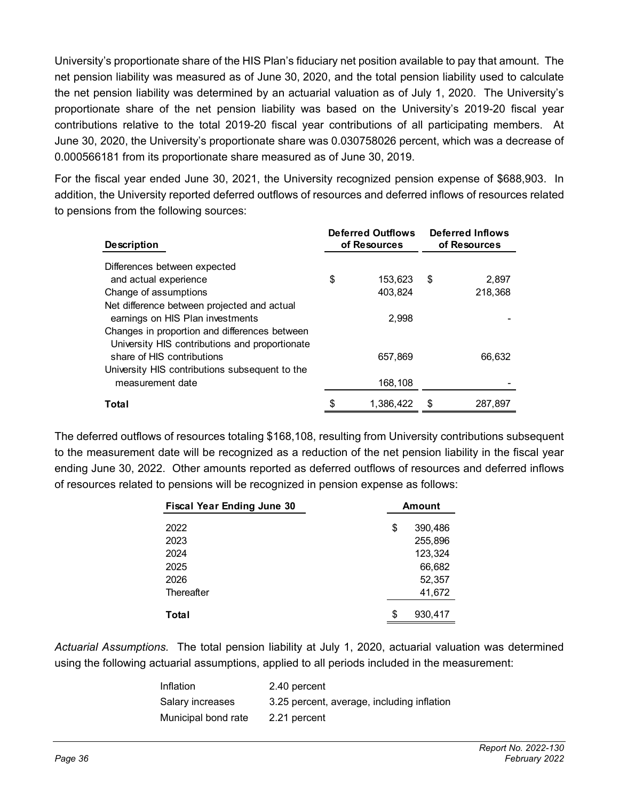University's proportionate share of the HIS Plan's fiduciary net position available to pay that amount. The net pension liability was measured as of June 30, 2020, and the total pension liability used to calculate the net pension liability was determined by an actuarial valuation as of July 1, 2020. The University's proportionate share of the net pension liability was based on the University's 2019-20 fiscal year contributions relative to the total 2019-20 fiscal year contributions of all participating members. At June 30, 2020, the University's proportionate share was 0.030758026 percent, which was a decrease of 0.000566181 from its proportionate share measured as of June 30, 2019.

For the fiscal year ended June 30, 2021, the University recognized pension expense of \$688,903. In addition, the University reported deferred outflows of resources and deferred inflows of resources related to pensions from the following sources:

| <b>Description</b>                                                                              | <b>Deferred Outflows</b><br>of Resources |           | <b>Deferred Inflows</b><br>of Resources |         |
|-------------------------------------------------------------------------------------------------|------------------------------------------|-----------|-----------------------------------------|---------|
| Differences between expected                                                                    |                                          |           |                                         |         |
| and actual experience                                                                           | \$                                       | 153,623   | \$                                      | 2,897   |
| Change of assumptions                                                                           |                                          | 403,824   |                                         | 218,368 |
| Net difference between projected and actual<br>earnings on HIS Plan investments                 |                                          | 2.998     |                                         |         |
| Changes in proportion and differences between<br>University HIS contributions and proportionate |                                          |           |                                         |         |
| share of HIS contributions                                                                      |                                          | 657,869   |                                         | 66,632  |
| University HIS contributions subsequent to the                                                  |                                          |           |                                         |         |
| measurement date                                                                                |                                          | 168,108   |                                         |         |
| Total                                                                                           |                                          | 1,386,422 |                                         | 287,897 |

The deferred outflows of resources totaling \$168,108, resulting from University contributions subsequent to the measurement date will be recognized as a reduction of the net pension liability in the fiscal year ending June 30, 2022. Other amounts reported as deferred outflows of resources and deferred inflows of resources related to pensions will be recognized in pension expense as follows:

| <b>Fiscal Year Ending June 30</b> | Amount |         |
|-----------------------------------|--------|---------|
| 2022                              | \$     | 390,486 |
| 2023                              |        | 255,896 |
| 2024                              |        | 123,324 |
| 2025                              |        | 66,682  |
| 2026                              |        | 52,357  |
| Thereafter                        |        | 41,672  |
| Total                             | S      | 930,417 |

*Actuarial Assumptions.* The total pension liability at July 1, 2020, actuarial valuation was determined using the following actuarial assumptions, applied to all periods included in the measurement:

| Inflation           | 2.40 percent                               |
|---------------------|--------------------------------------------|
| Salary increases    | 3.25 percent, average, including inflation |
| Municipal bond rate | 2.21 percent                               |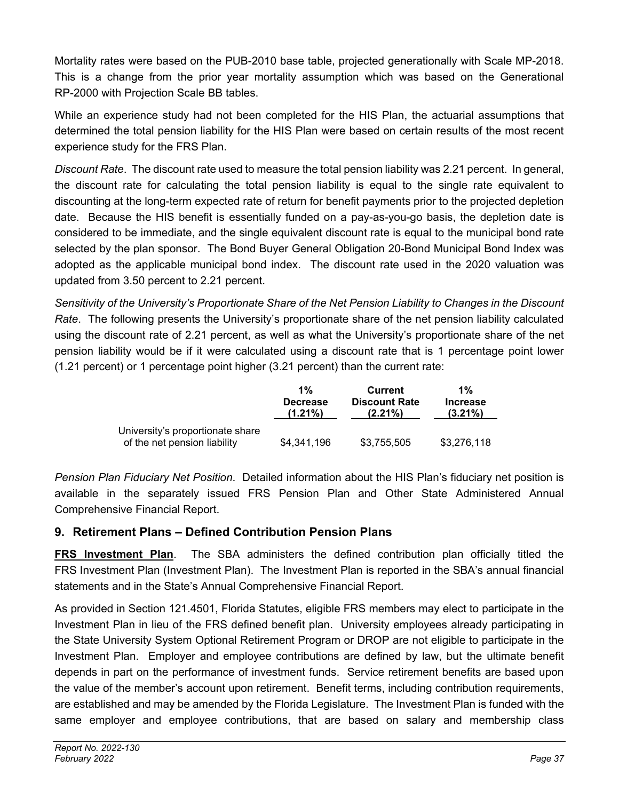Mortality rates were based on the PUB-2010 base table, projected generationally with Scale MP-2018. This is a change from the prior year mortality assumption which was based on the Generational RP-2000 with Projection Scale BB tables.

While an experience study had not been completed for the HIS Plan, the actuarial assumptions that determined the total pension liability for the HIS Plan were based on certain results of the most recent experience study for the FRS Plan.

*Discount Rate*. The discount rate used to measure the total pension liability was 2.21 percent. In general, the discount rate for calculating the total pension liability is equal to the single rate equivalent to discounting at the long-term expected rate of return for benefit payments prior to the projected depletion date. Because the HIS benefit is essentially funded on a pay-as-you-go basis, the depletion date is considered to be immediate, and the single equivalent discount rate is equal to the municipal bond rate selected by the plan sponsor. The Bond Buyer General Obligation 20-Bond Municipal Bond Index was adopted as the applicable municipal bond index. The discount rate used in the 2020 valuation was updated from 3.50 percent to 2.21 percent.

*Sensitivity of the University's Proportionate Share of the Net Pension Liability to Changes in the Discount Rate*. The following presents the University's proportionate share of the net pension liability calculated using the discount rate of 2.21 percent, as well as what the University's proportionate share of the net pension liability would be if it were calculated using a discount rate that is 1 percentage point lower (1.21 percent) or 1 percentage point higher (3.21 percent) than the current rate:

|                                                                  | 1%              | Current              | 1%              |
|------------------------------------------------------------------|-----------------|----------------------|-----------------|
|                                                                  | <b>Decrease</b> | <b>Discount Rate</b> | <b>Increase</b> |
|                                                                  | $(1.21\%)$      | $(2.21\%)$           | $(3.21\%)$      |
| University's proportionate share<br>of the net pension liability | \$4,341,196     | \$3,755,505          | \$3,276,118     |

*Pension Plan Fiduciary Net Position*. Detailed information about the HIS Plan's fiduciary net position is available in the separately issued FRS Pension Plan and Other State Administered Annual Comprehensive Financial Report.

# **9. Retirement Plans – Defined Contribution Pension Plans**

**FRS Investment Plan**. The SBA administers the defined contribution plan officially titled the FRS Investment Plan (Investment Plan). The Investment Plan is reported in the SBA's annual financial statements and in the State's Annual Comprehensive Financial Report.

As provided in Section 121.4501, Florida Statutes, eligible FRS members may elect to participate in the Investment Plan in lieu of the FRS defined benefit plan. University employees already participating in the State University System Optional Retirement Program or DROP are not eligible to participate in the Investment Plan. Employer and employee contributions are defined by law, but the ultimate benefit depends in part on the performance of investment funds. Service retirement benefits are based upon the value of the member's account upon retirement. Benefit terms, including contribution requirements, are established and may be amended by the Florida Legislature. The Investment Plan is funded with the same employer and employee contributions, that are based on salary and membership class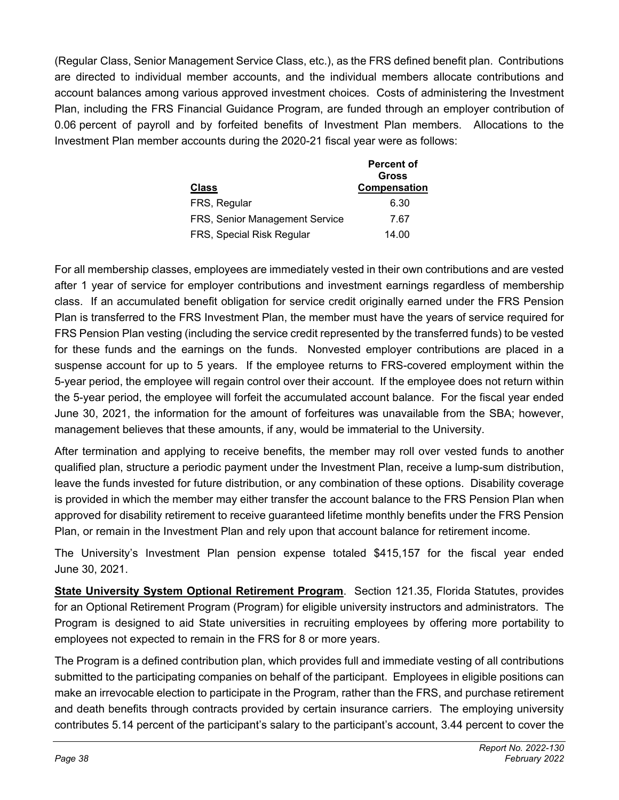(Regular Class, Senior Management Service Class, etc.), as the FRS defined benefit plan. Contributions are directed to individual member accounts, and the individual members allocate contributions and account balances among various approved investment choices. Costs of administering the Investment Plan, including the FRS Financial Guidance Program, are funded through an employer contribution of 0.06 percent of payroll and by forfeited benefits of Investment Plan members. Allocations to the Investment Plan member accounts during the 2020-21 fiscal year were as follows:

|                                | <b>Percent of</b><br><b>Gross</b> |
|--------------------------------|-----------------------------------|
| <b>Class</b>                   | Compensation                      |
| FRS, Regular                   | 6.30                              |
| FRS, Senior Management Service | 7.67                              |
| FRS, Special Risk Regular      | 14.00                             |

For all membership classes, employees are immediately vested in their own contributions and are vested after 1 year of service for employer contributions and investment earnings regardless of membership class. If an accumulated benefit obligation for service credit originally earned under the FRS Pension Plan is transferred to the FRS Investment Plan, the member must have the years of service required for FRS Pension Plan vesting (including the service credit represented by the transferred funds) to be vested for these funds and the earnings on the funds. Nonvested employer contributions are placed in a suspense account for up to 5 years. If the employee returns to FRS-covered employment within the 5-year period, the employee will regain control over their account. If the employee does not return within the 5-year period, the employee will forfeit the accumulated account balance. For the fiscal year ended June 30, 2021, the information for the amount of forfeitures was unavailable from the SBA; however, management believes that these amounts, if any, would be immaterial to the University.

After termination and applying to receive benefits, the member may roll over vested funds to another qualified plan, structure a periodic payment under the Investment Plan, receive a lump-sum distribution, leave the funds invested for future distribution, or any combination of these options. Disability coverage is provided in which the member may either transfer the account balance to the FRS Pension Plan when approved for disability retirement to receive guaranteed lifetime monthly benefits under the FRS Pension Plan, or remain in the Investment Plan and rely upon that account balance for retirement income.

The University's Investment Plan pension expense totaled \$415,157 for the fiscal year ended June 30, 2021.

**State University System Optional Retirement Program**. Section 121.35, Florida Statutes, provides for an Optional Retirement Program (Program) for eligible university instructors and administrators. The Program is designed to aid State universities in recruiting employees by offering more portability to employees not expected to remain in the FRS for 8 or more years.

The Program is a defined contribution plan, which provides full and immediate vesting of all contributions submitted to the participating companies on behalf of the participant. Employees in eligible positions can make an irrevocable election to participate in the Program, rather than the FRS, and purchase retirement and death benefits through contracts provided by certain insurance carriers. The employing university contributes 5.14 percent of the participant's salary to the participant's account, 3.44 percent to cover the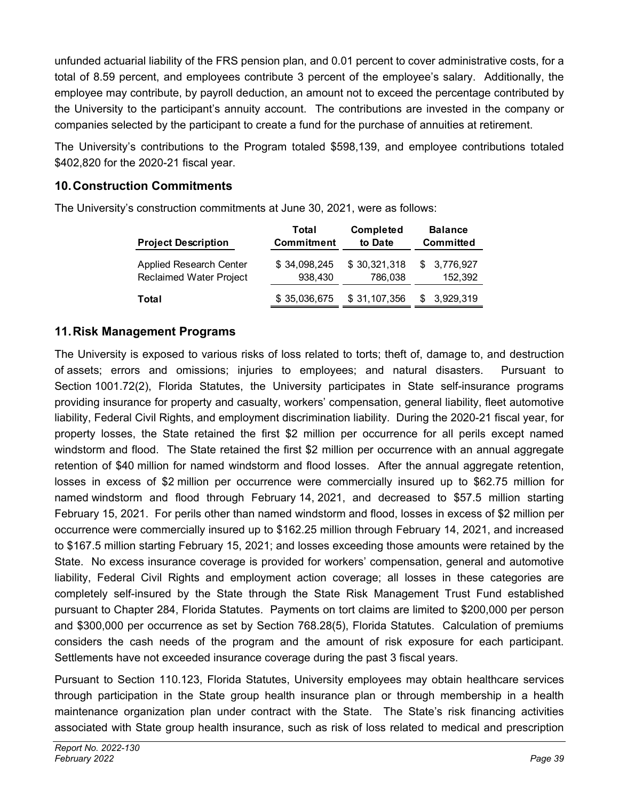unfunded actuarial liability of the FRS pension plan, and 0.01 percent to cover administrative costs, for a total of 8.59 percent, and employees contribute 3 percent of the employee's salary. Additionally, the employee may contribute, by payroll deduction, an amount not to exceed the percentage contributed by the University to the participant's annuity account. The contributions are invested in the company or companies selected by the participant to create a fund for the purchase of annuities at retirement.

The University's contributions to the Program totaled \$598,139, and employee contributions totaled \$402,820 for the 2020-21 fiscal year.

# **10. Construction Commitments**

The University's construction commitments at June 30, 2021, were as follows:

| <b>Project Description</b>     | Total             | <b>Completed</b> | <b>Balance</b> |  |  |  |
|--------------------------------|-------------------|------------------|----------------|--|--|--|
|                                | <b>Commitment</b> | to Date          | Committed      |  |  |  |
| <b>Applied Research Center</b> | \$34,098,245      | \$30,321,318     | \$3,776,927    |  |  |  |
| <b>Reclaimed Water Project</b> | 938.430           | 786,038          | 152.392        |  |  |  |
| Total                          | \$35,036,675      | \$31,107,356     | 3,929,319      |  |  |  |

# **11. Risk Management Programs**

The University is exposed to various risks of loss related to torts; theft of, damage to, and destruction of assets; errors and omissions; injuries to employees; and natural disasters. Pursuant to Section 1001.72(2), Florida Statutes, the University participates in State self-insurance programs providing insurance for property and casualty, workers' compensation, general liability, fleet automotive liability, Federal Civil Rights, and employment discrimination liability. During the 2020-21 fiscal year, for property losses, the State retained the first \$2 million per occurrence for all perils except named windstorm and flood. The State retained the first \$2 million per occurrence with an annual aggregate retention of \$40 million for named windstorm and flood losses. After the annual aggregate retention, losses in excess of \$2 million per occurrence were commercially insured up to \$62.75 million for named windstorm and flood through February 14, 2021, and decreased to \$57.5 million starting February 15, 2021. For perils other than named windstorm and flood, losses in excess of \$2 million per occurrence were commercially insured up to \$162.25 million through February 14, 2021, and increased to \$167.5 million starting February 15, 2021; and losses exceeding those amounts were retained by the State. No excess insurance coverage is provided for workers' compensation, general and automotive liability, Federal Civil Rights and employment action coverage; all losses in these categories are completely self-insured by the State through the State Risk Management Trust Fund established pursuant to Chapter 284, Florida Statutes. Payments on tort claims are limited to \$200,000 per person and \$300,000 per occurrence as set by Section 768.28(5), Florida Statutes. Calculation of premiums considers the cash needs of the program and the amount of risk exposure for each participant. Settlements have not exceeded insurance coverage during the past 3 fiscal years.

Pursuant to Section 110.123, Florida Statutes, University employees may obtain healthcare services through participation in the State group health insurance plan or through membership in a health maintenance organization plan under contract with the State. The State's risk financing activities associated with State group health insurance, such as risk of loss related to medical and prescription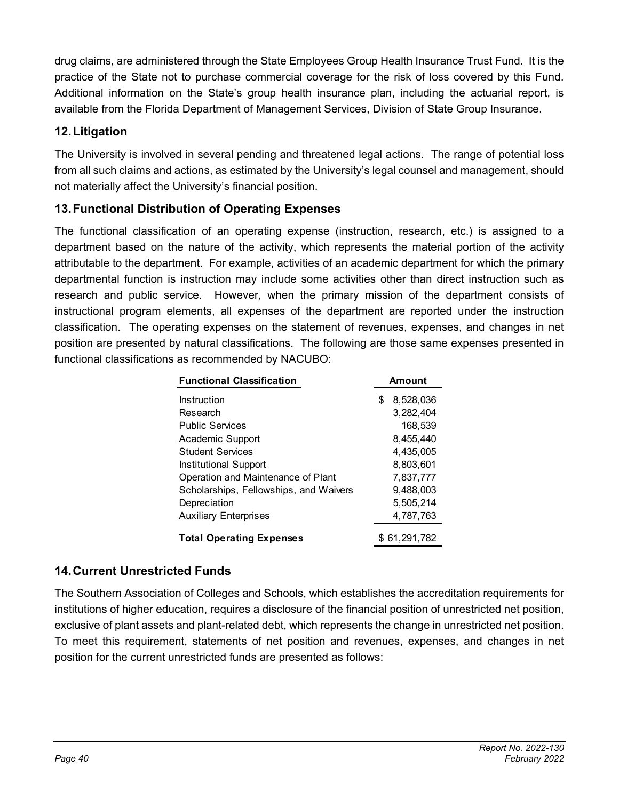drug claims, are administered through the State Employees Group Health Insurance Trust Fund. It is the practice of the State not to purchase commercial coverage for the risk of loss covered by this Fund. Additional information on the State's group health insurance plan, including the actuarial report, is available from the Florida Department of Management Services, Division of State Group Insurance.

# **12. Litigation**

The University is involved in several pending and threatened legal actions. The range of potential loss from all such claims and actions, as estimated by the University's legal counsel and management, should not materially affect the University's financial position.

# **13. Functional Distribution of Operating Expenses**

The functional classification of an operating expense (instruction, research, etc.) is assigned to a department based on the nature of the activity, which represents the material portion of the activity attributable to the department. For example, activities of an academic department for which the primary departmental function is instruction may include some activities other than direct instruction such as research and public service. However, when the primary mission of the department consists of instructional program elements, all expenses of the department are reported under the instruction classification. The operating expenses on the statement of revenues, expenses, and changes in net position are presented by natural classifications. The following are those same expenses presented in functional classifications as recommended by NACUBO:

| <b>Functional Classification</b>       | Amount          |  |  |  |
|----------------------------------------|-----------------|--|--|--|
| Instruction                            | \$<br>8,528,036 |  |  |  |
| Research                               | 3,282,404       |  |  |  |
| <b>Public Services</b>                 | 168,539         |  |  |  |
| Academic Support                       | 8,455,440       |  |  |  |
| <b>Student Services</b>                | 4,435,005       |  |  |  |
| Institutional Support                  | 8.803.601       |  |  |  |
| Operation and Maintenance of Plant     | 7,837,777       |  |  |  |
| Scholarships, Fellowships, and Waivers | 9.488.003       |  |  |  |
| Depreciation                           | 5,505,214       |  |  |  |
| <b>Auxiliary Enterprises</b>           | 4,787,763       |  |  |  |
| <b>Total Operating Expenses</b>        | \$61,291,782    |  |  |  |

# **14. Current Unrestricted Funds**

The Southern Association of Colleges and Schools, which establishes the accreditation requirements for institutions of higher education, requires a disclosure of the financial position of unrestricted net position, exclusive of plant assets and plant-related debt, which represents the change in unrestricted net position. To meet this requirement, statements of net position and revenues, expenses, and changes in net position for the current unrestricted funds are presented as follows: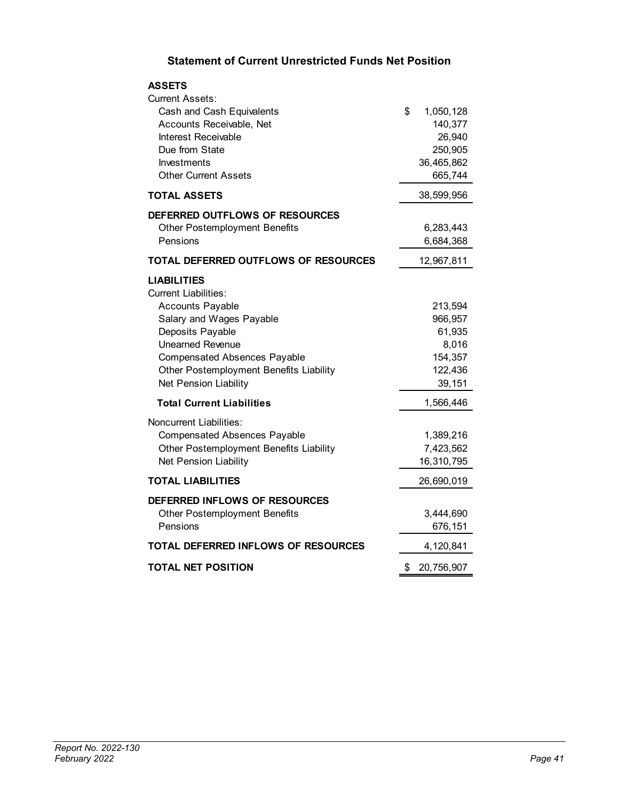| <b>ASSETS</b>                                       |                  |
|-----------------------------------------------------|------------------|
| <b>Current Assets:</b><br>Cash and Cash Equivalents | \$<br>1,050,128  |
| Accounts Receivable, Net                            | 140,377          |
| Interest Receivable                                 | 26,940           |
| Due from State                                      | 250,905          |
| Investments                                         | 36,465,862       |
| <b>Other Current Assets</b>                         | 665,744          |
| <b>TOTAL ASSETS</b>                                 | 38,599,956       |
| DEFERRED OUTFLOWS OF RESOURCES                      |                  |
| <b>Other Postemployment Benefits</b>                | 6,283,443        |
| Pensions                                            | 6,684,368        |
| TOTAL DEFERRED OUTFLOWS OF RESOURCES                | 12,967,811       |
| <b>LIABILITIES</b>                                  |                  |
| <b>Current Liabilities:</b>                         |                  |
| <b>Accounts Payable</b>                             | 213,594          |
| Salary and Wages Payable                            | 966,957          |
| Deposits Payable<br><b>Unearned Revenue</b>         | 61,935<br>8,016  |
| <b>Compensated Absences Payable</b>                 | 154,357          |
| Other Postemployment Benefits Liability             | 122,436          |
| Net Pension Liability                               | 39,151           |
| <b>Total Current Liabilities</b>                    | 1,566,446        |
| <b>Noncurrent Liabilities:</b>                      |                  |
| <b>Compensated Absences Payable</b>                 | 1,389,216        |
| Other Postemployment Benefits Liability             | 7,423,562        |
| <b>Net Pension Liability</b>                        | 16,310,795       |
| <b>TOTAL LIABILITIES</b>                            | 26,690,019       |
| DEFERRED INFLOWS OF RESOURCES                       |                  |
| <b>Other Postemployment Benefits</b>                | 3,444,690        |
| Pensions                                            | 676,151          |
| TOTAL DEFERRED INFLOWS OF RESOURCES                 | 4,120,841        |
| <b>TOTAL NET POSITION</b>                           | \$<br>20,756,907 |

# **Statement of Current Unrestricted Funds Net Position**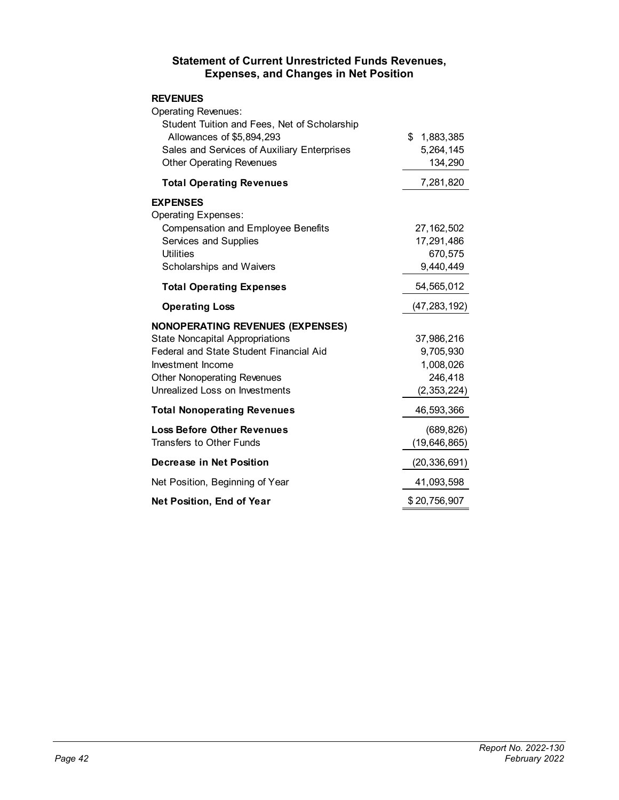#### **Statement of Current Unrestricted Funds Revenues, Expenses, and Changes in Net Position**

#### **REVENUES**

| Operating Revenues:                                                       |                 |
|---------------------------------------------------------------------------|-----------------|
| Student Tuition and Fees, Net of Scholarship<br>Allowances of \$5,894,293 | \$<br>1,883,385 |
| Sales and Services of Auxiliary Enterprises                               | 5,264,145       |
| <b>Other Operating Revenues</b>                                           | 134,290         |
| <b>Total Operating Revenues</b>                                           | 7,281,820       |
| <b>EXPENSES</b>                                                           |                 |
| <b>Operating Expenses:</b>                                                |                 |
| <b>Compensation and Employee Benefits</b>                                 | 27, 162, 502    |
| Services and Supplies                                                     | 17,291,486      |
| <b>Utilities</b>                                                          | 670,575         |
| Scholarships and Waivers                                                  | 9,440,449       |
| <b>Total Operating Expenses</b>                                           | 54,565,012      |
| <b>Operating Loss</b>                                                     | (47,283,192)    |
| <b>NONOPERATING REVENUES (EXPENSES)</b>                                   |                 |
| <b>State Noncapital Appropriations</b>                                    | 37,986,216      |
| Federal and State Student Financial Aid                                   | 9,705,930       |
| Investment Income                                                         | 1,008,026       |
| <b>Other Nonoperating Revenues</b>                                        | 246,418         |
| Unrealized Loss on Investments                                            | (2, 353, 224)   |
| <b>Total Nonoperating Revenues</b>                                        | 46,593,366      |
| <b>Loss Before Other Revenues</b>                                         | (689, 826)      |
| <b>Transfers to Other Funds</b>                                           | (19,646,865)    |
| Decrease in Net Position                                                  | (20,336,691)    |
| Net Position, Beginning of Year                                           | 41,093,598      |
| <b>Net Position, End of Year</b>                                          | \$20,756,907    |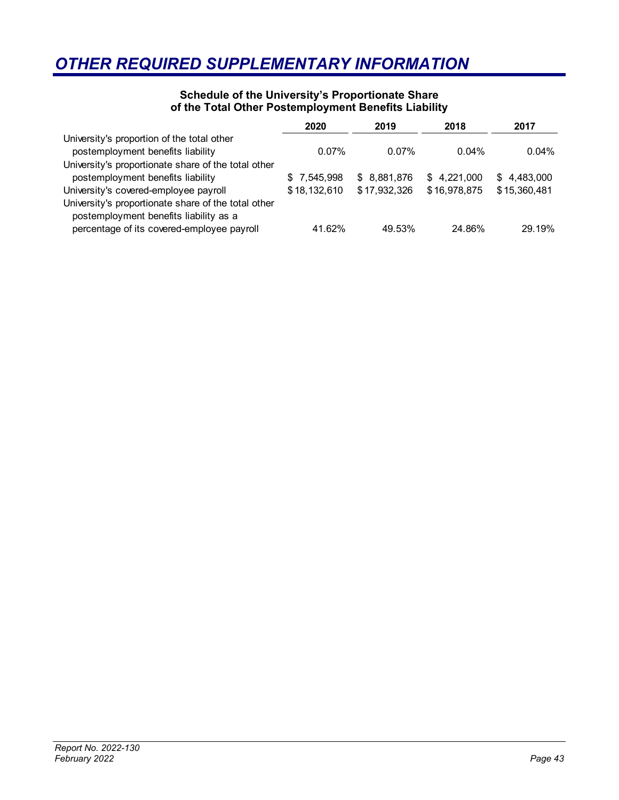# <span id="page-46-0"></span>*OTHER REQUIRED SUPPLEMENTARY INFORMATION*

#### **Schedule of the University's Proportionate Share of the Total Other Postemployment Benefits Liability**

|                                                     | 2020         | 2019         | 2018         | 2017         |
|-----------------------------------------------------|--------------|--------------|--------------|--------------|
| University's proportion of the total other          |              |              |              |              |
| postemployment benefits liability                   | $0.07\%$     | $0.07\%$     | $0.04\%$     | $0.04\%$     |
| University's proportionate share of the total other |              |              |              |              |
| postemployment benefits liability                   | \$ 7,545,998 | \$ 8,881,876 | \$4.221.000  | \$4.483.000  |
| University's covered-employee payroll               | \$18,132,610 | \$17,932,326 | \$16,978,875 | \$15,360,481 |
| University's proportionate share of the total other |              |              |              |              |
| postemployment benefits liability as a              |              |              |              |              |
| percentage of its covered-employee payroll          | 41.62%       | 49.53%       | 24.86%       | 29.19%       |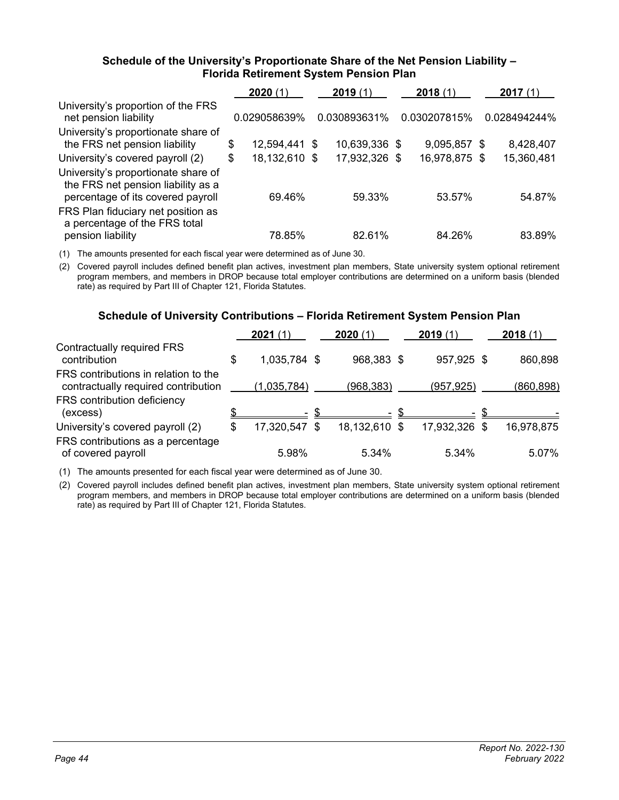#### **Schedule of the University's Proportionate Share of the Net Pension Liability – Florida Retirement System Pension Plan**

<span id="page-47-0"></span>

|                                                                                                                | 2020(1)             | 2019(1)       | 2018(1)       | 2017(1)      |
|----------------------------------------------------------------------------------------------------------------|---------------------|---------------|---------------|--------------|
| University's proportion of the FRS<br>net pension liability<br>University's proportionate share of             | 0.029058639%        | 0.030893631%  | 0.030207815%  | 0.028494244% |
| the FRS net pension liability                                                                                  | \$<br>12,594,441 \$ | 10,639,336 \$ | 9,095,857 \$  | 8,428,407    |
| University's covered payroll (2)                                                                               | \$<br>18,132,610 \$ | 17,932,326 \$ | 16,978,875 \$ | 15,360,481   |
| University's proportionate share of<br>the FRS net pension liability as a<br>percentage of its covered payroll | 69.46%              | 59.33%        | 53.57%        | 54.87%       |
| FRS Plan fiduciary net position as<br>a percentage of the FRS total<br>pension liability                       | 78.85%              | 82.61%        | 84.26%        | 83.89%       |

(1) The amounts presented for each fiscal year were determined as of June 30.

(2) Covered payroll includes defined benefit plan actives, investment plan members, State university system optional retirement program members, and members in DROP because total employer contributions are determined on a uniform basis (blended rate) as required by Part III of Chapter 121, Florida Statutes.

#### **Schedule of University Contributions – Florida Retirement System Pension Plan**

|                                                                             | 2021(1)             | 2020(1)    | 2019(1)          | 2018(1)          |
|-----------------------------------------------------------------------------|---------------------|------------|------------------|------------------|
| <b>Contractually required FRS</b><br>contribution                           | \$<br>1,035,784 \$  | 968,383 \$ | 957,925 \$       | 860,898          |
| FRS contributions in relation to the<br>contractually required contribution | (1,035,784)         | (968, 383) | (957, 925)       | (860, 898)       |
| FRS contribution deficiency<br>(excess)                                     |                     |            |                  |                  |
| University's covered payroll (2)<br>FRS contributions as a percentage       | \$<br>17,320,547 \$ | 18,132,610 | \$<br>17,932,326 | \$<br>16,978,875 |
| of covered payroll                                                          | 5.98%               | 5.34%      | 5.34%            | 5.07%            |

(1) The amounts presented for each fiscal year were determined as of June 30.

(2) Covered payroll includes defined benefit plan actives, investment plan members, State university system optional retirement program members, and members in DROP because total employer contributions are determined on a uniform basis (blended rate) as required by Part III of Chapter 121, Florida Statutes.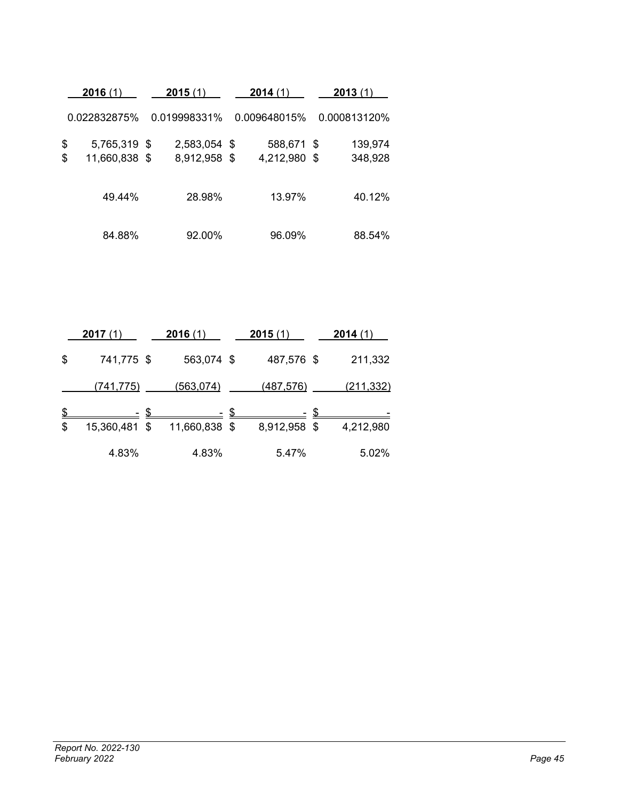|    | 2016(1)      | 2015(1)             | 2014(1)      | 2013 (1      |
|----|--------------|---------------------|--------------|--------------|
|    | 0.022832875% | 0.019998331%        | 0.009648015% | 0.000813120% |
| \$ | 5,765,319 \$ | 2,583,054 \$        | 588,671 \$   | 139,974      |
| \$ | 11,660,838   | 8,912,958 \$<br>-\$ | 4,212,980 \$ | 348,928      |
|    | 49.44%       | 28.98%              | 13.97%       | 40.12%       |
|    | 84.88%       | 92.00%              | 96.09%       | 88.54%       |

| 2017(1)             | 2016(1)       | 2015(1)      | 2014(1)    |
|---------------------|---------------|--------------|------------|
| \$<br>741,775 \$    | 563,074 \$    | 487,576 \$   | 211,332    |
| (741, 775)          | (563, 074)    | (487, 576)   | (211, 332) |
|                     |               |              |            |
| \$<br>15,360,481 \$ | 11,660,838 \$ | 8,912,958 \$ | 4,212,980  |
| 4.83%               | 4.83%         | 5.47%        | 5.02%      |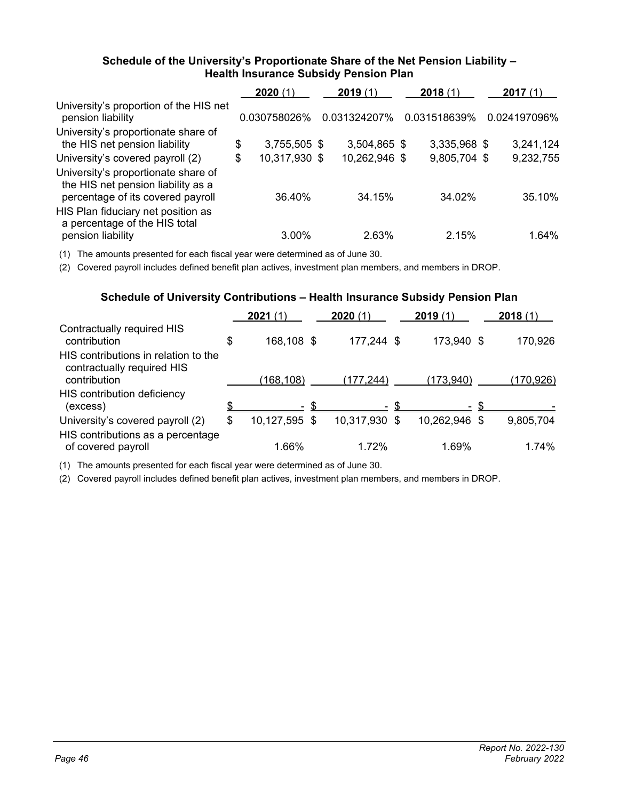#### **Schedule of the University's Proportionate Share of the Net Pension Liability – Health Insurance Subsidy Pension Plan**

<span id="page-49-0"></span>

|                                                                                                                | 2020 (1)            | 2019(1)       | 2018(1)      | 2017(1)      |
|----------------------------------------------------------------------------------------------------------------|---------------------|---------------|--------------|--------------|
| University's proportion of the HIS net<br>pension liability<br>University's proportionate share of             | 0.030758026%        | 0.031324207%  | 0.031518639% | 0.024197096% |
| the HIS net pension liability                                                                                  | \$<br>3,755,505 \$  | 3,504,865 \$  | 3,335,968 \$ | 3,241,124    |
| University's covered payroll (2)                                                                               | \$<br>10,317,930 \$ | 10,262,946 \$ | 9,805,704 \$ | 9,232,755    |
| University's proportionate share of<br>the HIS net pension liability as a<br>percentage of its covered payroll | 36.40%              | 34.15%        | 34.02%       | 35.10%       |
| HIS Plan fiduciary net position as<br>a percentage of the HIS total<br>pension liability                       | $3.00\%$            | 2.63%         | 2.15%        | 1.64%        |

(1) The amounts presented for each fiscal year were determined as of June 30.

(2) Covered payroll includes defined benefit plan actives, investment plan members, and members in DROP.

#### **Schedule of University Contributions – Health Insurance Subsidy Pension Plan**

|                                                                    | 2021(1)             | 2020(1)       | 2019(1)       | 2018(1)   |
|--------------------------------------------------------------------|---------------------|---------------|---------------|-----------|
| Contractually required HIS<br>contribution                         | \$<br>168,108 \$    | 177,244 \$    | 173,940 \$    | 170,926   |
| HIS contributions in relation to the<br>contractually required HIS |                     |               |               |           |
| contribution                                                       | (168,108)           | (177, 244)    | (173, 940)    | (170,926) |
| HIS contribution deficiency                                        |                     |               |               |           |
| (excess)                                                           |                     |               |               |           |
| University's covered payroll (2)                                   | \$<br>10,127,595 \$ | 10,317,930 \$ | 10,262,946 \$ | 9,805,704 |
| HIS contributions as a percentage<br>of covered payroll            | 1.66%               | 1.72%         | 1.69%         | 1.74%     |

(1) The amounts presented for each fiscal year were determined as of June 30.

(2) Covered payroll includes defined benefit plan actives, investment plan members, and members in DROP.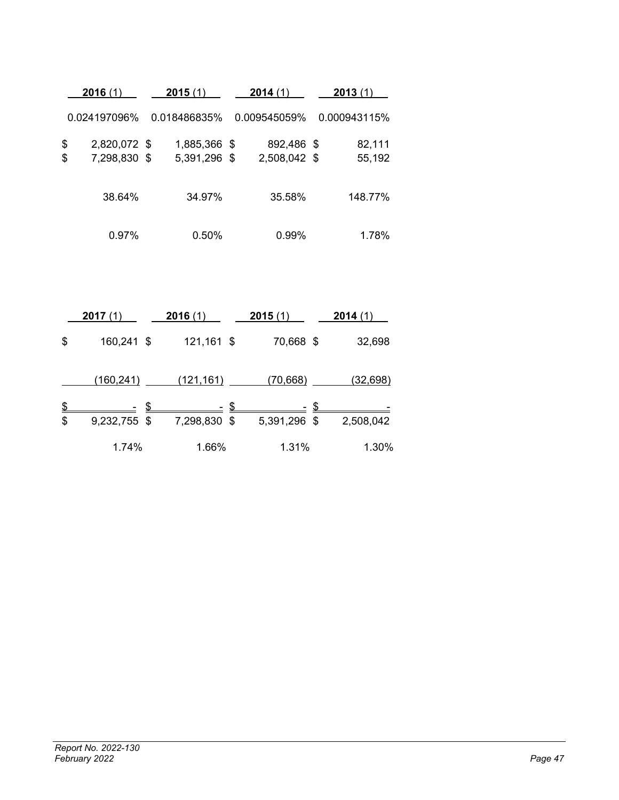|    | 2016(1)      | 2015(1)              | 2014(1)      | 2013 (1      |  |  |
|----|--------------|----------------------|--------------|--------------|--|--|
|    | 0.024197096% | 0.018486835%         | 0.009545059% | 0.000943115% |  |  |
| \$ | 2,820,072 \$ | 1,885,366 \$         | 892,486 \$   | 82,111       |  |  |
| \$ | 7,298,830    | 5,391,296 \$<br>- \$ | 2,508,042 \$ | 55,192       |  |  |
|    | 38.64%       | 34.97%               | 35.58%       | 148.77%      |  |  |
|    | 0.97%        | 0.50%                | 0.99%        | 1.78%        |  |  |

| 2017(1)            | 2016(1)      | 2015(1)      | 2014(1)   |
|--------------------|--------------|--------------|-----------|
| \$<br>160,241 \$   | 121,161 \$   | 70,668 \$    | 32,698    |
| (160, 241)         | (121, 161)   | (70, 668)    | (32,698)  |
|                    | -\$          |              |           |
| \$<br>9,232,755 \$ | 7,298,830 \$ | 5,391,296 \$ | 2,508,042 |
| 1.74%              | 1.66%        | 1.31%        | 1.30%     |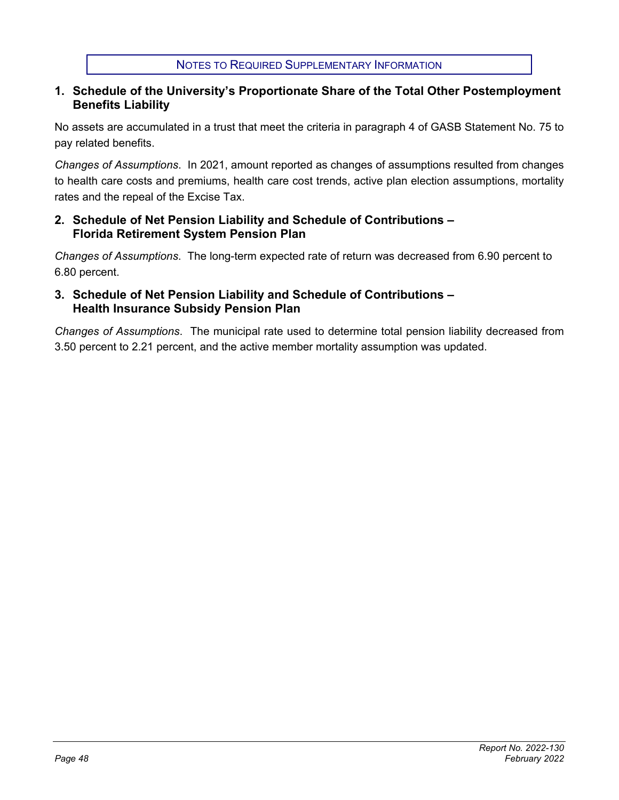# <span id="page-51-0"></span>**1. Schedule of the University's Proportionate Share of the Total Other Postemployment Benefits Liability**

No assets are accumulated in a trust that meet the criteria in paragraph 4 of GASB Statement No. 75 to pay related benefits.

*Changes of Assumptions*. In 2021, amount reported as changes of assumptions resulted from changes to health care costs and premiums, health care cost trends, active plan election assumptions, mortality rates and the repeal of the Excise Tax.

# **2. Schedule of Net Pension Liability and Schedule of Contributions – Florida Retirement System Pension Plan**

*Changes of Assumptions*. The long-term expected rate of return was decreased from 6.90 percent to 6.80 percent.

# **3. Schedule of Net Pension Liability and Schedule of Contributions – Health Insurance Subsidy Pension Plan**

*Changes of Assumptions*. The municipal rate used to determine total pension liability decreased from 3.50 percent to 2.21 percent, and the active member mortality assumption was updated.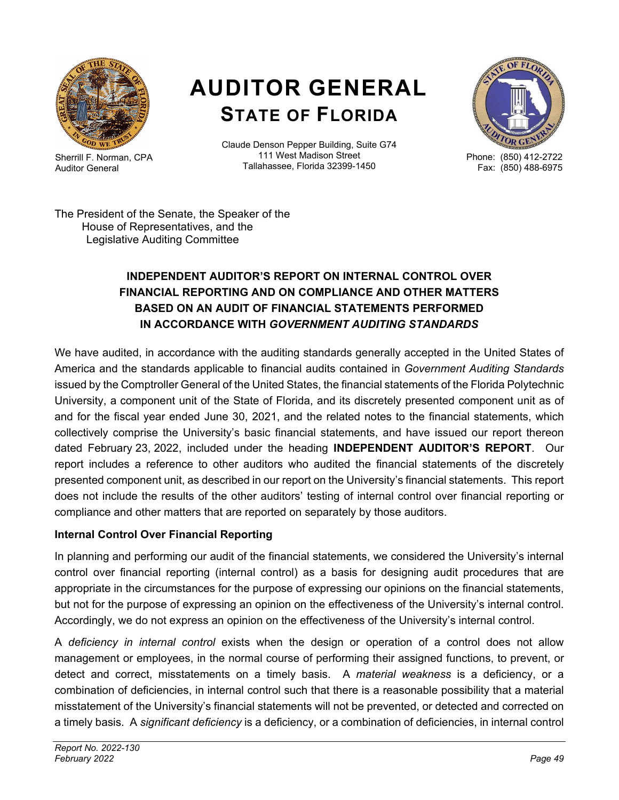<span id="page-52-0"></span>

Sherrill F. Norman, CPA Auditor General

# **AUDITOR GENERAL STATE OF FLORIDA**

Claude Denson Pepper Building, Suite G74 111 West Madison Street Tallahassee, Florida 32399-1450



Phone: (850) 412-2722 Fax: (850) 488-6975

The President of the Senate, the Speaker of the House of Representatives, and the Legislative Auditing Committee

# **INDEPENDENT AUDITOR'S REPORT ON INTERNAL CONTROL OVER FINANCIAL REPORTING AND ON COMPLIANCE AND OTHER MATTERS BASED ON AN AUDIT OF FINANCIAL STATEMENTS PERFORMED IN ACCORDANCE WITH** *GOVERNMENT AUDITING STANDARDS*

We have audited, in accordance with the auditing standards generally accepted in the United States of America and the standards applicable to financial audits contained in *Government Auditing Standards* issued by the Comptroller General of the United States, the financial statements of the Florida Polytechnic University, a component unit of the State of Florida, and its discretely presented component unit as of and for the fiscal year ended June 30, 2021, and the related notes to the financial statements, which collectively comprise the University's basic financial statements, and have issued our report thereon dated February 23, 2022, included under the heading **INDEPENDENT AUDITOR'S REPORT**. Our report includes a reference to other auditors who audited the financial statements of the discretely presented component unit, as described in our report on the University's financial statements. This report does not include the results of the other auditors' testing of internal control over financial reporting or compliance and other matters that are reported on separately by those auditors.

# **Internal Control Over Financial Reporting**

In planning and performing our audit of the financial statements, we considered the University's internal control over financial reporting (internal control) as a basis for designing audit procedures that are appropriate in the circumstances for the purpose of expressing our opinions on the financial statements, but not for the purpose of expressing an opinion on the effectiveness of the University's internal control. Accordingly, we do not express an opinion on the effectiveness of the University's internal control.

A *deficiency in internal control* exists when the design or operation of a control does not allow management or employees, in the normal course of performing their assigned functions, to prevent, or detect and correct, misstatements on a timely basis. A *material weakness* is a deficiency, or a combination of deficiencies, in internal control such that there is a reasonable possibility that a material misstatement of the University's financial statements will not be prevented, or detected and corrected on a timely basis. A *significant deficiency* is a deficiency, or a combination of deficiencies, in internal control